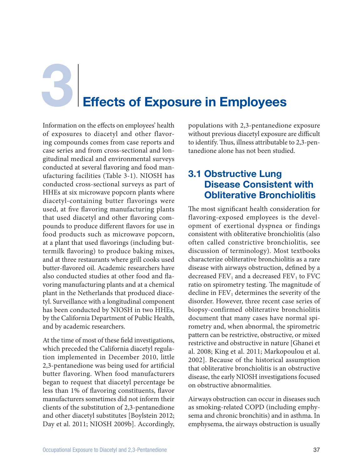**Effects of Exposure in Employees** 

Information on the effects on employees' health of exposures to diacetyl and other flavoring compounds comes from case reports and case series and from cross-sectional and longitudinal medical and environmental surveys conducted at several flavoring and food manufacturing facilities (Table 3-1). NIOSH has conducted cross-sectional surveys as part of HHEs at six microwave popcorn plants where diacetyl-containing butter flavorings were used, at five flavoring manufacturing plants that used diacetyl and other flavoring compounds to produce different flavors for use in food products such as microwave popcorn, at a plant that used flavorings (including buttermilk flavoring) to produce baking mixes, and at three restaurants where grill cooks used butter-flavored oil. Academic researchers have also conducted studies at other food and flavoring manufacturing plants and at a chemical plant in the Netherlands that produced diacetyl. Surveillance with a longitudinal component has been conducted by NIOSH in two HHEs, by the California Department of Public Health, and by academic researchers.

At the time of most of these field investigations, which preceded the California diacetyl regulation implemented in December 2010, little 2,3-pentanedione was being used for artificial butter flavoring. When food manufacturers began to request that diacetyl percentage be less than 1% of flavoring constituents, flavor manufacturers sometimes did not inform their clients of the substitution of 2,3-pentanedione and other diacetyl substitutes [Boylstein 2012; Day et al. 2011; NIOSH 2009b]. Accordingly, populations with 2,3-pentanedione exposure without previous diacetyl exposure are difficult to identify. Thus, illness attributable to 2,3-pentanedione alone has not been studied.

### 3.1 Obstructive Lung Disease Consistent with Obliterative Bronchiolitis

The most significant health consideration for flavoring-exposed employees is the development of exertional dyspnea or findings consistent with obliterative bronchiolitis (also often called constrictive bronchiolitis, see discussion of terminology). Most textbooks characterize obliterative bronchiolitis as a rare disease with airways obstruction, defined by a decreased  $\text{FEV}_1$  and a decreased  $\text{FEV}_1$  to  $\text{FVC}$ ratio on spirometry testing. The magnitude of decline in  $FEV<sub>1</sub>$  determines the severity of the disorder. However, three recent case series of biopsy-confirmed obliterative bronchiolitis document that many cases have normal spirometry and, when abnormal, the spirometric pattern can be restrictive, obstructive, or mixed restrictive and obstructive in nature [Ghanei et al. 2008; King et al. 2011; Markopoulou et al. 2002]. Because of the historical assumption that obliterative bronchiolitis is an obstructive disease, the early NIOSH investigations focused on obstructive abnormalities.

Airways obstruction can occur in diseases such as smoking-related COPD (including emphysema and chronic bronchitis) and in asthma. In emphysema, the airways obstruction is usually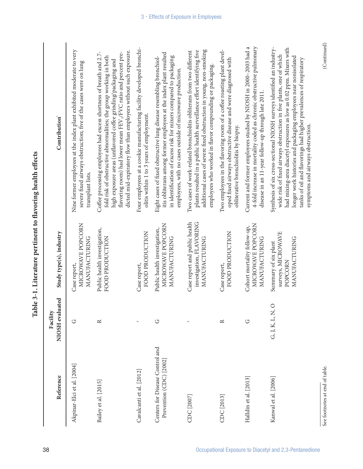|                                                            |                             | Table 5-1; Therature perthistic to havoring nearm enects                   |                                                                                                                                                                                                                                                                                                                                                                                                 |
|------------------------------------------------------------|-----------------------------|----------------------------------------------------------------------------|-------------------------------------------------------------------------------------------------------------------------------------------------------------------------------------------------------------------------------------------------------------------------------------------------------------------------------------------------------------------------------------------------|
| Reference                                                  | NIOSH evaluated<br>Facility | Study type(s), industry                                                    | Contribution <sup>*</sup>                                                                                                                                                                                                                                                                                                                                                                       |
| Akpinar-Elci et al. [2004]                                 | $\circ$                     | MICROWAVE POPCORN<br>MANUFACTURING<br>Case report,                         | Nine former employees at the index plant exhibited moderate to very<br>severe fixed airways obstruction; five of the cases were on lung<br>transplant lists.                                                                                                                                                                                                                                    |
| Bailey et al. [2015]                                       | $\approx$                   | Public health investigation,<br>FOOD PRODUCTION                            | dicted mid-expiratory flow than employees without such exposure.<br>Coffee processing employees had excess shortness of breath and 2.7-<br>flavoring room) had lower mean FEV <sub>1</sub> /FVC ratio and percent pre-<br>fold risk of obstructive abnormalities; the group working in both<br>high exposure areas (unflavored coffee grinding/packaging and                                    |
| Cavalcanti et al. [2012]                                   |                             | FOOD PRODUCTION<br>Case report,                                            | Four employees at a cookie manufacturing facility developed bronchi-<br>olitis within 1 to 3 years of employment.                                                                                                                                                                                                                                                                               |
| Centers for Disease Control and<br>Prevention (CDC) [2002] | U                           | MICROWAVE POPCORN<br>Public health investigation,<br>MANUFACTURING         | itis obliterans among former employees at the index plant resulted<br>in identification of excess risk for mixers compared to packaging<br>Eight cases of fixed obstructive lung disease resembling bronchiol-<br>employees, with no cases outside of microwave production.                                                                                                                     |
| CDC [2007]                                                 |                             | Case report and public health<br>investigation, FLAVORING<br>MANUFACTURING | additional cases of severe fixed obstruction in young, non-smoking<br>Two cases of work-related bronchiolitis obliterans from two different<br>plants resulted in a public health surveillance effort identifying five<br>employees who worked in flavor compounding or packaging                                                                                                               |
| CDC [2013]                                                 | $\approx$                   | FOOD PRODUCTION<br>Case report,                                            | Two employees in the flavoring room of a coffee roasting plant devel-<br>oped fixed airways obstructive disease and were diagnosed with<br>obliterative bronchiolitis by biopsy.                                                                                                                                                                                                                |
| Halldin et al. [2013]                                      | $\circ$                     | MICROWAVE POPCORN<br>Cohort mortality follow-up,<br>MANUFACTURING          | 4-fold increase in mortality coded as chronic obstructive pulmonary<br>Current and former employees studied by NIOSH in 2000-2003 had a<br>disease in an 11-year follow-up through late 2011.                                                                                                                                                                                                   |
| Kanwal et al. [2006]                                       | $\circ$<br>G, J, K, L, N,   | surveys, MICROWAVE<br>MANUFACTURING<br>Summary of six plant<br>POPCORN     | Synthesis of six cross-sectional NIOSH surveys identified an industry-<br>had mixing-area diacetyl exposures as low as 0.02 ppm. Mixers with<br>wide risk of fixed airways obstruction in five plants, one of which<br>longer work histories and packaging employees near nonisolated<br>tanks of oil and flavorings had higher prevalences of respiratory<br>symptoms and airways obstruction. |
| See footnotes at end of table.                             |                             |                                                                            | (Continued)                                                                                                                                                                                                                                                                                                                                                                                     |

38 Occupational Exposure to Diacetyl and 2,3-Pentanedione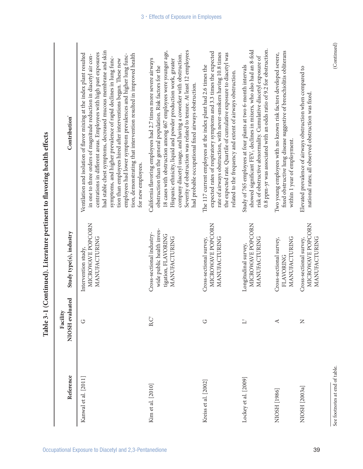| Reference            | NIOSH evaluated<br>Facility | Study type(s), industry                                                                        | Contribution <sup>*</sup>                                                                                                                                                                                                                                                                                                                                                                                                                                                                                                                                                            |
|----------------------|-----------------------------|------------------------------------------------------------------------------------------------|--------------------------------------------------------------------------------------------------------------------------------------------------------------------------------------------------------------------------------------------------------------------------------------------------------------------------------------------------------------------------------------------------------------------------------------------------------------------------------------------------------------------------------------------------------------------------------------|
| Kanwal et al. [2011] | U                           | MICROWAVE POPCORN<br>MANUFACTURING<br>Intervention study,                                      | had stable chest symptoms, decreased mucous membrane and skin<br>centrations in different areas. Employees with high past exposures<br>Ventilation and isolation of flavor mixing at the index plant resulted<br>tion, demonstrating that intervention resulted in improved health<br>employees had lower symptom prevalences and higher lung func-<br>in one to three orders of magnitude reduction in diacetyl air con-<br>symptoms, and higher prevalence of rapid declines in lung func-<br>tion than employees hired after interventions began. These new<br>for new employees. |
| Kim et al. [2010]    | $B, C^{\dagger}$            | wide public health inves-<br>Cross-sectional industry-<br>tigation, FLAVORING<br>MANUFACTURING | 18 cases with obstruction among 467 employees were younger age,<br>Severity of obstruction was related to tenure. At least 12 employees<br>company diacetyl usage, and having a coworker with obstruction.<br>California flavoring employees had 2.7 times more severe airways<br>Hispanic ethnicity, liquid and powder production work, greater<br>obstruction than the general population. Risk factors for the<br>had probable occupational fixed airways obstruction.                                                                                                            |
| Kreiss et al. [2002] | U                           | MICROWAVE POPCORN<br>MANUFACTURING<br>Cross-sectional survey,                                  | expected rates of respiratory symptoms and 3.3 times the expected<br>rate of airways obstruction, with never-smokers having 10.8 times<br>the expected rate. Quartile of cumulative exposure to diacetyl was<br>The 117 current employees at the index plant had 2.6 times the<br>related to the frequency and extent of airways obstruction                                                                                                                                                                                                                                         |
| Lockey et al. [2009] | $\overline{\square}$        | MICROWAVE POPCORN<br>MANUFACTURING<br>Longitudinal survey,                                     | 0.8 ppm-yr was associated with an odds ratio of 9.2 for obstruction.<br>showed significant FEV1 declines in mixers, who also had an 8-fold<br>risk of obstructive abnormality. Cumulative diacetyl exposure of<br>Study of 765 employees at four plants at two 6-month intervals                                                                                                                                                                                                                                                                                                     |
| NIOSH [1986]         | $\prec$                     | MANUFACTURING<br>Cross-sectional survey,<br><b>FLAVORING</b>                                   | fixed obstructive lung disease suggestive of bronchiolitis obliterans<br>Two young employees with no known risk factors developed severe,<br>within 1 year of employment.                                                                                                                                                                                                                                                                                                                                                                                                            |
| NIOSH [2003a]        | $\mathsf{z}$                | MICROWAVE POPCORN<br>MANUFACTURING<br>Cross-sectional survey,                                  | Elevated prevalence of airways obstruction when compared to<br>national rates; all observed obstruction was fixed.                                                                                                                                                                                                                                                                                                                                                                                                                                                                   |

See footnotes at end of table. (Continued) See footnotes at end of table.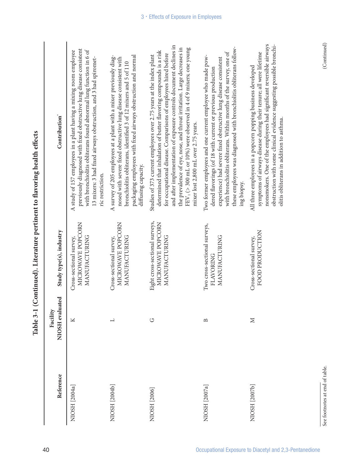| Reference     | NIOSH evaluated<br>Facility | Study type(s), industry                                              | Contribution <sup>*</sup>                                                                                                                                                                                                                                                                                                                                                                                                                                                            |
|---------------|-----------------------------|----------------------------------------------------------------------|--------------------------------------------------------------------------------------------------------------------------------------------------------------------------------------------------------------------------------------------------------------------------------------------------------------------------------------------------------------------------------------------------------------------------------------------------------------------------------------|
| NIOSH [2004a] | K                           | MICROWAVE POPCORN<br>MANUFACTURING<br>Cross-sectional survey,        | previously diagnosed with fixed obstructive lung disease consistent<br>with bronchiolitis obliterans found abnormal lung function in 6 of<br>A study of 157 employees in a plant having a mixing room employee<br>13 mixers: 3 had fixed airways obstruction, and 3 had spiromet-<br>ric restriction.                                                                                                                                                                                |
| NIOSH [2004b] | $\overline{\phantom{0}}$    | MICROWAVE POPCORN<br>MANUFACTURING<br>Cross-sectional survey,        | packaging employees with fixed airways obstruction and normal<br>A survey of 205 employees at a plant with a mixer previously diag-<br>nosed with severe fixed obstructive lung disease consistent with<br>bronchiolitis obliterans, identified 3 of 12 mixers and 5 of 110<br>diffusing capacity.                                                                                                                                                                                   |
| NIOSH [2006]  | U                           | Eight cross-sectional surveys,<br>MICROWAVE POPCORN<br>MANUFACTURING | and after implementation of exposure controls document declines in<br>the prevalence of eye, nose, and throat irritation. Large decreases in<br>FEV <sub>1</sub> (> 300 mL or 10%) were observed in 4 of 9 mixers; one young<br>determined that inhalation of butter flavoring compounds is a risk<br>for occupational disease. Comparisons of employees hired before<br>Studies of 373 current employees over 2.75 years at the index plant<br>mixer lost 2,800 mL over 2.75 years. |
| NIOSH [2007a] | $\mathbf{\Xi}$              | Two cross-sectional surveys,<br>MANUFACTURING<br>FLAVORING           | these employees was diagnosed with bronchiolitis obliterans follow-<br>with bronchiolitis obliterans. Within months of the survey, one of<br>Two former employees and one current employee who made pow-<br>experience) had severe fixed obstructive lung disease consistent<br>dered flavorings (of 18 with current or previous production<br>ing biopsy.                                                                                                                           |
| NIOSH [2007b] | $\geq$                      | FOOD PRODUCTION<br>Cross-sectional survey,                           | nonsmokers. One of the employees had significant reversible airways<br>obstruction with some clinical evidence suggesting possible bronchi-<br>symptoms of airways disease during their tenure; all were lifetime<br>All three employees in a popcorn popping business developed<br>olitis obliterans in addition to asthma.                                                                                                                                                         |

 $(\rm {Continued})$ 

See footnotes at end of table. (Continued) See footnotes at end of table.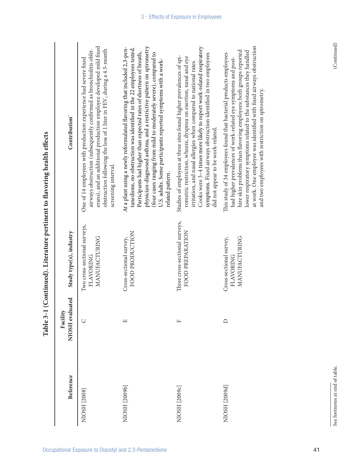|               |                             | ŗ                                                                 | 0<br> <br>                                                                                                                                                                                                                                                                                                                                                                                                                                            |
|---------------|-----------------------------|-------------------------------------------------------------------|-------------------------------------------------------------------------------------------------------------------------------------------------------------------------------------------------------------------------------------------------------------------------------------------------------------------------------------------------------------------------------------------------------------------------------------------------------|
| Reference     | NIOSH evaluated<br>Facility | Study type(s), industry                                           | Contribution <sup>*</sup>                                                                                                                                                                                                                                                                                                                                                                                                                             |
| NIOSH [2008]  | $\cup$                      | Two cross-sectional surveys,<br>MANUFACTURING<br><b>FLAVORING</b> | erans), and an additional production employee developed mild fixed<br>obstruction following the loss of 1 liter in FEV <sub>1</sub> during a 4.5-month<br>airways obstruction (subsequently confirmed as bronchiolitis oblit-<br>One of 14 employees with production experience had severe fixed<br>screening interval.                                                                                                                               |
| NIOSH [2009b] | $\mathbf{r}$                | FOOD PRODUCTION<br>Cross-sectional survey,                        | physician-diagnosed asthma, and a restrictive pattern on spirometry<br>At a plant using a newly reformulated flavoring that included 2,3-pen-<br>tanedione, no obstruction was identified in the 22 employees tested.<br>Participants had higher than expected rates of shortness of breath,<br>(four cases ranging from mild to moderately severe), compared to<br>U.S. adults. Some participants reported symptoms with a work-<br>related pattern. |
| NIOSH [2009c] | щ                           | Three cross-sectional surveys,<br>FOOD PREPARATION                | Cooks were 3-4 times more likely to report work-related respiratory<br>symptoms. Fixed airways obstruction identified in two employees<br>Studies of employees at three sites found higher prevalences of spi-<br>rometric restriction, wheeze, dyspnea on exertion, nasal and eye<br>irritation, and nasal allergies when compared to national rates.<br>did not appear to be work-related.                                                          |
| NIOSH [2009d] | $\Box$                      | MANUFACTURING<br>Cross-sectional survey,<br><b>FLAVORING</b>      | at work. One employee was identified with fixed airways obstruction<br>hire skin problems than flavoring employees; both groups reported<br>lower respiratory symptoms related to the substances they handled<br>This study of 34 employees found that bacterial products employees<br>had higher prevalences of work-related eye symptoms and post-<br>and two employees with restriction on spirometry.                                             |

Table 3-1 (Continued). Literature pertinent to flavoring health effects **Table 3-1 (Continued). Literature pertinent to flavoring health effects**

See footnotes at end of table. (Continued) See footnotes at end of table.

 $(\rm {Continued})$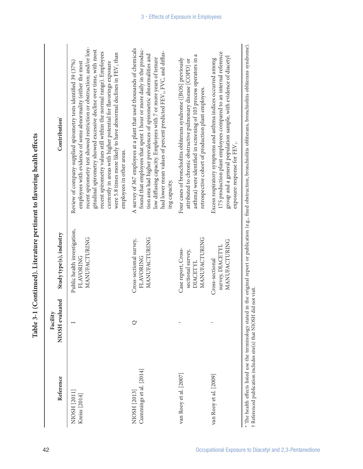| Reference                                                                                                                     | NIOSH evaluated<br>Facility | Study type(s), industry                                               | Contribution <sup>*</sup>                                                                                                                                                                                                                                                                                                                                                                                                                                                                                                              |
|-------------------------------------------------------------------------------------------------------------------------------|-----------------------------|-----------------------------------------------------------------------|----------------------------------------------------------------------------------------------------------------------------------------------------------------------------------------------------------------------------------------------------------------------------------------------------------------------------------------------------------------------------------------------------------------------------------------------------------------------------------------------------------------------------------------|
| NIOSH [2011]<br>Kreiss [2014]                                                                                                 |                             | Public health investigation,<br>MANUFACTURING<br>FLAVORING            | recent spirometry test showed restriction or obstruction; and/or lon-<br>gitudinal spirometry showed excessive decline over time, with most<br>recent spirometry values still within the normal range). Employees<br>were 5.8 times more likely to have abnormal declines in FEV <sub>1</sub> than<br>Review of company-supplied spirometry tests identified 39 (37%)<br>employees with evidence of some abnormality (either the most<br>currently in areas with higher potential for flavorings exposure<br>employees in other areas. |
| Cummings et al. [2014]<br>NIOSH [2013]                                                                                        |                             | MANUFACTURING<br>Cross-sectional survey,<br>FLAVORING                 | A survey of 367 employees at a plant that used thousands of chemicals<br>found that employees that spent 1 hour or more daily in the produc-<br>had lower mean values of percent predicted FEV1, FVC, and diffus-<br>tion area had higher prevalences of spirometric abnormalities and<br>low diffusing capacity. Employees with 7 or more years of tenure<br>ing capacity.                                                                                                                                                            |
| van Rooy et al. [2007]                                                                                                        |                             | MANUFACTURING<br>Case report, Cross-<br>sectional survey,<br>DIACETYL | asthma) were identified in screening of 103 process operators in a<br>Four cases of bronchiolitis obliterans syndrome ([BOS] previously<br>attributed to chronic obstructive pulmonary disease [COPD] or<br>retrospective cohort of production plant employees.                                                                                                                                                                                                                                                                        |
| van Rooy et al. [2009]                                                                                                        |                             | MANUFACTURING<br>survey, DIACETYI<br>Cross-sectional                  | 175 production plant employees compared to an internal reference<br>group and a general population sample, with evidence of diacetyl<br>Excess respiratory symptoms and asthma indices occurred among<br>exposure-response for FEV <sub>1</sub> .                                                                                                                                                                                                                                                                                      |
| $^{\star}$ The health effects listed use the terminology stated i<br>t Referenced publication includes site(s) that NIOSH di- | d not visit.                |                                                                       | in the original report or publication (e.g., fixed obstruction, bronchiolitis obliterans, bronchiolitis obliterans syndrome).                                                                                                                                                                                                                                                                                                                                                                                                          |

| i<br>S<br>Ş<br>ة<br>م           |
|---------------------------------|
|                                 |
| )<br>i<br>)<br>;<br>$-100$      |
| í                               |
| うく ミューティー りょう じょうしゅ<br>4        |
| $\blacksquare$<br>$\frac{1}{2}$ |
|                                 |
| 1月1日 1月1日 1月1日                  |
|                                 |
| Î,<br>Į<br>$\frac{1}{1}$        |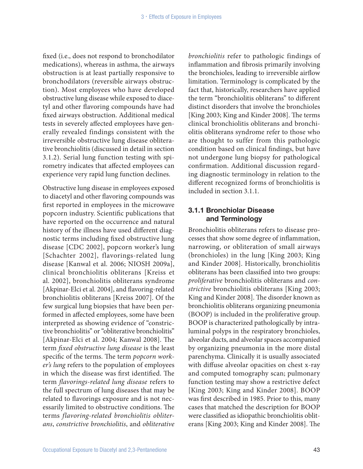fixed (i.e., does not respond to bronchodilator medications), whereas in asthma, the airways obstruction is at least partially responsive to bronchodilators (reversible airways obstruction). Most employees who have developed obstructive lung disease while exposed to diacetyl and other flavoring compounds have had fixed airways obstruction. Additional medical tests in severely affected employees have generally revealed findings consistent with the irreversible obstructive lung disease obliterative bronchiolitis (discussed in detail in section 3.1.2). Serial lung function testing with spirometry indicates that affected employees can experience very rapid lung function declines.

Obstructive lung disease in employees exposed to diacetyl and other flavoring compounds was first reported in employees in the microwave popcorn industry. Scientific publications that have reported on the occurrence and natural history of the illness have used different diagnostic terms including fixed obstructive lung disease [CDC 2002], popcorn worker's lung [Schachter 2002], flavorings-related lung disease [Kanwal et al. 2006; NIOSH 2009a], clinical bronchiolitis obliterans [Kreiss et al. 2002], bronchiolitis obliterans syndrome [Akpinar-Elci et al. 2004], and flavoring-related bronchiolitis obliterans [Kreiss 2007]. Of the few surgical lung biopsies that have been performed in affected employees, some have been interpreted as showing evidence of "constrictive bronchiolitis" or "obliterative bronchiolitis" [Akpinar-Elci et al. 2004; Kanwal 2008]. The term *fixed obstructive lung disease* is the least specific of the terms. The term *popcorn worker's lung* refers to the population of employees in which the disease was first identified. The term *flavorings-related lung disease* refers to the full spectrum of lung diseases that may be related to flavorings exposure and is not necessarily limited to obstructive conditions. The terms *flavoring-related bronchiolitis obliterans*, *constrictive bronchiolitis*, and *obliterative* 

*bronchiolitis* refer to pathologic findings of inflammation and fibrosis primarily involving the bronchioles, leading to irreversible airflow limitation. Terminology is complicated by the fact that, historically, researchers have applied the term "bronchiolitis obliterans" to different distinct disorders that involve the bronchioles [King 2003; King and Kinder 2008]. The terms clinical bronchiolitis obliterans and bronchiolitis obliterans syndrome refer to those who are thought to suffer from this pathologic condition based on clinical findings, but have not undergone lung biopsy for pathological confirmation. Additional discussion regarding diagnostic terminology in relation to the different recognized forms of bronchiolitis is included in section 3.1.1.

### 3.1.1 Bronchiolar Disease and Terminology

Bronchiolitis obliterans refers to disease processes that show some degree of inflammation, narrowing, or obliteration of small airways (bronchioles) in the lung [King 2003; King and Kinder 2008]. Historically, bronchiolitis obliterans has been classified into two groups: *proliferative* bronchiolitis obliterans and *constrictive* bronchiolitis obliterans [King 2003; King and Kinder 2008]. The disorder known as bronchiolitis obliterans organizing pneumonia (BOOP) is included in the proliferative group. BOOP is characterized pathologically by intraluminal polyps in the respiratory bronchioles, alveolar ducts, and alveolar spaces accompanied by organizing pneumonia in the more distal parenchyma. Clinically it is usually associated with diffuse alveolar opacities on chest x-ray and computed tomography scan; pulmonary function testing may show a restrictive defect [King 2003; King and Kinder 2008]. BOOP was first described in 1985. Prior to this, many cases that matched the description for BOOP were classified as idiopathic bronchiolitis obliterans [King 2003; King and Kinder 2008]. The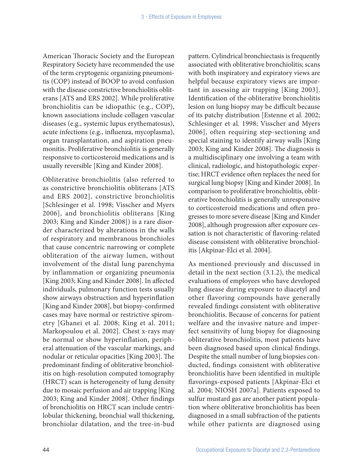American Thoracic Society and the European Respiratory Society have recommended the use of the term cryptogenic organizing pneumonitis (COP) instead of BOOP to avoid confusion with the disease constrictive bronchiolitis obliterans [ATS and ERS 2002]. While proliferative bronchiolitis can be idiopathic (e.g., COP), known associations include collagen vascular diseases (e.g., systemic lupus erythematosus), acute infections (e.g., influenza, mycoplasma), organ transplantation, and aspiration pneumonitis. Proliferative bronchiolitis is generally responsive to corticosteroid medications and is usually reversible [King and Kinder 2008].

Obliterative bronchiolitis (also referred to as constrictive bronchiolitis obliterans [ATS and ERS 2002], constrictive bronchiolitis [Schlesinger et al. 1998; Visscher and Myers 2006], and bronchiolitis obliterans [King 2003; King and Kinder 2008]) is a rare disorder characterized by alterations in the walls of respiratory and membranous bronchioles that cause concentric narrowing or complete obliteration of the airway lumen, without involvement of the distal lung parenchyma by inflammation or organizing pneumonia [King 2003; King and Kinder 2008]. In affected individuals, pulmonary function tests usually show airways obstruction and hyperinflation [King and Kinder 2008], but biopsy-confirmed cases may have normal or restrictive spirometry [Ghanei et al. 2008; King et al. 2011; Markopoulou et al. 2002]. Chest x-rays may be normal or show hyperinflation, peripheral attenuation of the vascular markings, and nodular or reticular opacities [King 2003]. The predominant finding of obliterative bronchiolitis on high-resolution computed tomography (HRCT) scan is heterogeneity of lung density due to mosaic perfusion and air trapping [King 2003; King and Kinder 2008]. Other findings of bronchiolitis on HRCT scan include centrilobular thickening, bronchial wall thickening, bronchiolar dilatation, and the tree-in-bud

pattern. Cylindrical bronchiectasis is frequently associated with obliterative bronchiolitis; scans with both inspiratory and expiratory views are helpful because expiratory views are important in assessing air trapping [King 2003]. Identification of the obliterative bronchiolitis lesion on lung biopsy may be difficult because of its patchy distribution [Estenne et al. 2002; Schlesinger et al. 1998; Visscher and Myers 2006], often requiring step-sectioning and special staining to identify airway walls [King 2003; King and Kinder 2008]. The diagnosis is a multidisciplinary one involving a team with clinical, radiologic, and histopathologic expertise; HRCT evidence often replaces the need for surgical lung biopsy [King and Kinder 2008]. In comparison to proliferative bronchiolitis, obliterative bronchiolitis is generally unresponsive to corticosteroid medications and often progresses to more severe disease [King and Kinder 2008], although progression after exposure cessation is not characteristic of flavoring-related disease consistent with obliterative bronchiolitis [Akpinar-Elci et al. 2004].

As mentioned previously and discussed in detail in the next section (3.1.2), the medical evaluations of employees who have developed lung disease during exposure to diacetyl and other flavoring compounds have generally revealed findings consistent with obliterative bronchiolitis. Because of concerns for patient welfare and the invasive nature and imperfect sensitivity of lung biopsy for diagnosing obliterative bronchiolitis, most patients have been diagnosed based upon clinical findings. Despite the small number of lung biopsies conducted, findings consistent with obliterative bronchiolitis have been identified in multiple flavorings-exposed patients [Akpinar-Elci et al. 2004; NIOSH 2007a]. Patients exposed to sulfur mustard gas are another patient population where obliterative bronchiolitis has been diagnosed in a small subfraction of the patients while other patients are diagnosed using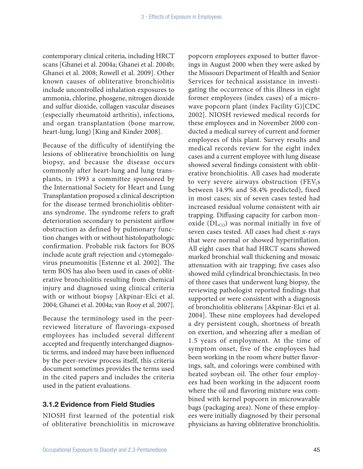contemporary clinical criteria, including HRCT scans [Ghanei et al. 2004a; Ghanei et al. 2004b; Ghanei et al. 2008; Rowell et al. 2009]. Other known causes of obliterative bronchiolitis include uncontrolled inhalation exposures to ammonia, chlorine, phosgene, nitrogen dioxide and sulfur dioxide, collagen vascular diseases (especially rheumatoid arthritis), infections, and organ transplantation (bone marrow, heart-lung, lung) [King and Kinder 2008].

Because of the difficulty of identifying the lesions of obliterative bronchiolitis on lung biopsy, and because the disease occurs commonly after heart-lung and lung transplants, in 1993 a committee sponsored by the International Society for Heart and Lung Transplantation proposed a clinical description for the disease termed bronchiolitis obliterans syndrome. The syndrome refers to graft deterioration secondary to persistent airflow obstruction as defined by pulmonary function changes with or without histolopathologic confirmation. Probable risk factors for BOS include acute graft rejection and cytomegalovirus pneumonitis [Estenne et al. 2002]. The term BOS has also been used in cases of obliterative bronchiolitis resulting from chemical injury and diagnosed using clinical criteria with or without biopsy [Akpinar-Elci et al. 2004; Ghanei et al. 2004a; van Rooy et al. 2007].

Because the terminology used in the peerreviewed literature of flavorings-exposed employees has included several different accepted and frequently interchanged diagnostic terms, and indeed may have been influenced by the peer-review process itself, this criteria document sometimes provides the terms used in the cited papers and includes the criteria used in the patient evaluations.

#### 3.1.2 Evidence from Field Studies

NIOSH first learned of the potential risk of obliterative bronchiolitis in microwave popcorn employees exposed to butter flavorings in August 2000 when they were asked by the Missouri Department of Health and Senior Services for technical assistance in investigating the occurrence of this illness in eight former employees (index cases) of a microwave popcorn plant (index Facility G)[CDC 2002]. NIOSH reviewed medical records for these employees and in November 2000 conducted a medical survey of current and former employees of this plant. Survey results and medical records review for the eight index cases and a current employee with lung disease showed several findings consistent with obliterative bronchiolitis. All cases had moderate to very severe airways obstruction  $(FEV<sub>1</sub>s)$ between 14.9% and 58.4% predicted), fixed in most cases; six of seven cases tested had increased residual volume consistent with air trapping. Diffusing capacity for carbon monoxide  $(DL_{CO})$  was normal initially in five of seven cases tested. All cases had chest x-rays that were normal or showed hyperinflation. All eight cases that had HRCT scans showed marked bronchial wall thickening and mosaic attenuation with air trapping; five cases also showed mild cylindrical bronchiectasis. In two of three cases that underwent lung biopsy, the reviewing pathologist reported findings that supported or were consistent with a diagnosis of bronchiolitis obliterans [Akpinar-Elci et al. 2004]. These nine employees had developed a dry persistent cough, shortness of breath on exertion, and wheezing after a median of 1.5 years of employment. At the time of symptom onset, five of the employees had been working in the room where butter flavorings, salt, and colorings were combined with heated soybean oil. The other four employees had been working in the adjacent room where the oil and flavoring mixture was combined with kernel popcorn in microwavable bags (packaging area). None of these employees were initially diagnosed by their personal physicians as having obliterative bronchiolitis.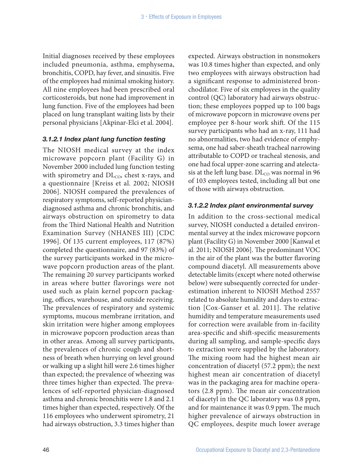Initial diagnoses received by these employees included pneumonia, asthma, emphysema, bronchitis, COPD, hay fever, and sinusitis. Five of the employees had minimal smoking history. All nine employees had been prescribed oral corticosteroids, but none had improvement in lung function. Five of the employees had been placed on lung transplant waiting lists by their personal physicians [Akpinar-Elci et al. 2004].

#### *3.1.2.1 Index plant lung function testing*

The NIOSH medical survey at the index microwave popcorn plant (Facility G) in November 2000 included lung function testing with spirometry and  $DL_{CO}$ , chest x-rays, and a questionnaire [Kreiss et al. 2002; NIOSH 2006]. NIOSH compared the prevalences of respiratory symptoms, self-reported physiciandiagnosed asthma and chronic bronchitis, and airways obstruction on spirometry to data from the Third National Health and Nutrition Examination Survey (NHANES III) [CDC 1996]. Of 135 current employees, 117 (87%) completed the questionnaire, and 97 (83%) of the survey participants worked in the microwave popcorn production areas of the plant. The remaining 20 survey participants worked in areas where butter flavorings were not used such as plain kernel popcorn packaging, offices, warehouse, and outside receiving. The prevalences of respiratory and systemic symptoms, mucous membrane irritation, and skin irritation were higher among employees in microwave popcorn production areas than in other areas. Among all survey participants, the prevalences of chronic cough and shortness of breath when hurrying on level ground or walking up a slight hill were 2.6 times higher than expected; the prevalence of wheezing was three times higher than expected. The prevalences of self-reported physician-diagnosed asthma and chronic bronchitis were 1.8 and 2.1 times higher than expected, respectively. Of the 116 employees who underwent spirometry, 21 had airways obstruction, 3.3 times higher than

expected. Airways obstruction in nonsmokers was 10.8 times higher than expected, and only two employees with airways obstruction had a significant response to administered bronchodilator. Five of six employees in the quality control (QC) laboratory had airways obstruction; these employees popped up to 100 bags of microwave popcorn in microwave ovens per employee per 8-hour work shift. Of the 115 survey participants who had an x-ray, 111 had no abnormalities, two had evidence of emphysema, one had saber-sheath tracheal narrowing attributable to COPD or tracheal stenosis, and one had focal upper-zone scarring and atelectasis at the left lung base.  $DL_{CO}$  was normal in 96 of 103 employees tested, including all but one of those with airways obstruction.

#### *3.1.2.2 Index plant environmental survey*

In addition to the cross-sectional medical survey, NIOSH conducted a detailed environmental survey at the index microwave popcorn plant (Facility G) in November 2000 [Kanwal et al. 2011; NIOSH 2006]. The predominant VOC in the air of the plant was the butter flavoring compound diacetyl. All measurements above detectable limits (except where noted otherwise below) were subsequently corrected for underestimation inherent to NIOSH Method 2557 related to absolute humidity and days to extraction [Cox-Ganser et al. 2011]. The relative humidity and temperature measurements used for correction were available from in-facility area-specific and shift-specific measurements during all sampling, and sample-specific days to extraction were supplied by the laboratory. The mixing room had the highest mean air concentration of diacetyl (57.2 ppm); the next highest mean air concentration of diacetyl was in the packaging area for machine operators (2.8 ppm). The mean air concentration of diacetyl in the QC laboratory was 0.8 ppm, and for maintenance it was 0.9 ppm. The much higher prevalence of airways obstruction in QC employees, despite much lower average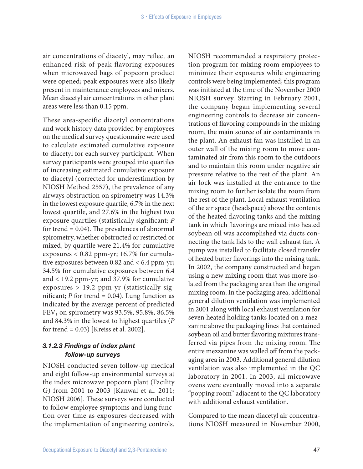air concentrations of diacetyl, may reflect an enhanced risk of peak flavoring exposures when microwaved bags of popcorn product were opened; peak exposures were also likely present in maintenance employees and mixers. Mean diacetyl air concentrations in other plant areas were less than 0.15 ppm.

These area-specific diacetyl concentrations and work history data provided by employees on the medical survey questionnaire were used to calculate estimated cumulative exposure to diacetyl for each survey participant. When survey participants were grouped into quartiles of increasing estimated cumulative exposure to diacetyl (corrected for underestimation by NIOSH Method 2557), the prevalence of any airways obstruction on spirometry was 14.3% in the lowest exposure quartile, 6.7% in the next lowest quartile, and 27.6% in the highest two exposure quartiles (statistically significant; *P*  for trend  $= 0.04$ ). The prevalences of abnormal spirometry, whether obstructed or restricted or mixed, by quartile were 21.4% for cumulative exposures < 0.82 ppm-yr; 16.7% for cumulative exposures between 0.82 and < 6.4 ppm-yr; 34.5% for cumulative exposures between 6.4 and < 19.2 ppm-yr; and 37.9% for cumulative exposures > 19.2 ppm-yr (statistically significant;  $P$  for trend = 0.04). Lung function as indicated by the average percent of predicted  $FEV<sub>1</sub>$  on spirometry was 93.5%, 95.8%, 86.5% and 84.3% in the lowest to highest quartiles (*P* for trend = 0.03) [Kreiss et al. 2002].

### *3.1.2.3 Findings of index plant follow-up surveys*

NIOSH conducted seven follow-up medical and eight follow-up environmental surveys at the index microwave popcorn plant (Facility G) from 2001 to 2003 [Kanwal et al. 2011; NIOSH 2006]. These surveys were conducted to follow employee symptoms and lung function over time as exposures decreased with the implementation of engineering controls.

NIOSH recommended a respiratory protection program for mixing room employees to minimize their exposures while engineering controls were being implemented; this program was initiated at the time of the November 2000 NIOSH survey. Starting in February 2001, the company began implementing several engineering controls to decrease air concentrations of flavoring compounds in the mixing room, the main source of air contaminants in the plant. An exhaust fan was installed in an outer wall of the mixing room to move contaminated air from this room to the outdoors and to maintain this room under negative air pressure relative to the rest of the plant. An air lock was installed at the entrance to the mixing room to further isolate the room from the rest of the plant. Local exhaust ventilation of the air space (headspace) above the contents of the heated flavoring tanks and the mixing tank in which flavorings are mixed into heated soybean oil was accomplished via ducts connecting the tank lids to the wall exhaust fan. A pump was installed to facilitate closed transfer of heated butter flavorings into the mixing tank. In 2002, the company constructed and began using a new mixing room that was more isolated from the packaging area than the original mixing room. In the packaging area, additional general dilution ventilation was implemented in 2001 along with local exhaust ventilation for seven heated holding tanks located on a mezzanine above the packaging lines that contained soybean oil and butter flavoring mixtures transferred via pipes from the mixing room. The entire mezzanine was walled off from the packaging area in 2003. Additional general dilution ventilation was also implemented in the QC laboratory in 2001. In 2003, all microwave ovens were eventually moved into a separate "popping room" adjacent to the QC laboratory with additional exhaust ventilation.

Compared to the mean diacetyl air concentrations NIOSH measured in November 2000,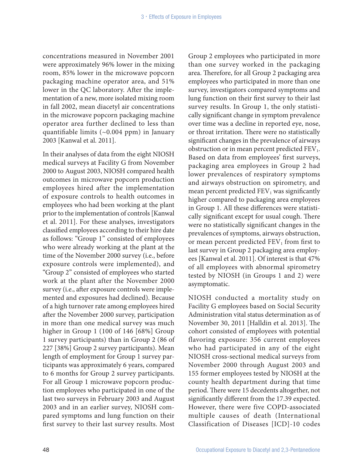concentrations measured in November 2001 were approximately 96% lower in the mixing room, 85% lower in the microwave popcorn packaging machine operator area, and 51% lower in the QC laboratory. After the implementation of a new, more isolated mixing room in fall 2002, mean diacetyl air concentrations in the microwave popcorn packaging machine operator area further declined to less than quantifiable limits (~0.004 ppm) in January 2003 [Kanwal et al. 2011].

In their analyses of data from the eight NIOSH medical surveys at Facility G from November 2000 to August 2003, NIOSH compared health outcomes in microwave popcorn production employees hired after the implementation of exposure controls to health outcomes in employees who had been working at the plant prior to the implementation of controls [Kanwal et al. 2011]. For these analyses, investigators classified employees according to their hire date as follows: "Group 1" consisted of employees who were already working at the plant at the time of the November 2000 survey (i.e., before exposure controls were implemented), and "Group 2" consisted of employees who started work at the plant after the November 2000 survey (i.e., after exposure controls were implemented and exposures had declined). Because of a high turnover rate among employees hired after the November 2000 survey, participation in more than one medical survey was much higher in Group 1 (100 of 146 [68%] Group 1 survey participants) than in Group 2 (86 of 227 [38%] Group 2 survey participants). Mean length of employment for Group 1 survey participants was approximately 6 years, compared to 6 months for Group 2 survey participants. For all Group 1 microwave popcorn production employees who participated in one of the last two surveys in February 2003 and August 2003 and in an earlier survey, NIOSH compared symptoms and lung function on their first survey to their last survey results. Most

Group 2 employees who participated in more than one survey worked in the packaging area. Therefore, for all Group 2 packaging area employees who participated in more than one survey, investigators compared symptoms and lung function on their first survey to their last survey results. In Group 1, the only statistically significant change in symptom prevalence over time was a decline in reported eye, nose, or throat irritation. There were no statistically significant changes in the prevalence of airways obstruction or in mean percent predicted FEV<sub>1</sub>. Based on data from employees' first surveys, packaging area employees in Group 2 had lower prevalences of respiratory symptoms and airways obstruction on spirometry, and mean percent predicted  $FEV<sub>1</sub>$  was significantly higher compared to packaging area employees in Group 1. All these differences were statistically significant except for usual cough. There were no statistically significant changes in the prevalences of symptoms, airways obstruction, or mean percent predicted  $FEV<sub>1</sub>$  from first to last survey in Group 2 packaging area employees [Kanwal et al. 2011]. Of interest is that 47% of all employees with abnormal spirometry tested by NIOSH (in Groups 1 and 2) were asymptomatic.

NIOSH conducted a mortality study on Facility G employees based on Social Security Administration vital status determination as of November 30, 2011 [Halldin et al. 2013]. The cohort consisted of employees with potential flavoring exposure: 356 current employees who had participated in any of the eight NIOSH cross-sectional medical surveys from November 2000 through August 2003 and 155 former employees tested by NIOSH at the county health department during that time period. There were 15 decedents altogether, not significantly different from the 17.39 expected. However, there were five COPD-associated multiple causes of death (International Classification of Diseases [ICD]-10 codes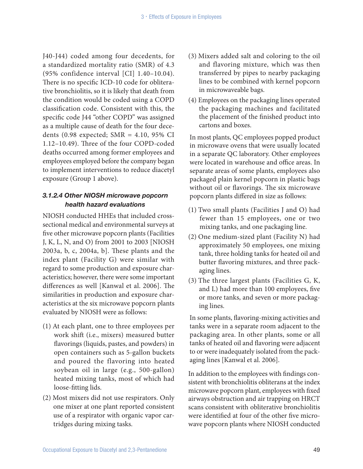J40-J44) coded among four decedents, for a standardized mortality ratio (SMR) of 4.3 (95% confidence interval [CI] 1.40–10.04). There is no specific ICD-10 code for obliterative bronchiolitis, so it is likely that death from the condition would be coded using a COPD classification code. Consistent with this, the specific code J44 "other COPD" was assigned as a multiple cause of death for the four decedents (0.98 expected; SMR = 4.10, 95% CI 1.12–10.49). Three of the four COPD-coded deaths occurred among former employees and employees employed before the company began to implement interventions to reduce diacetyl exposure (Group 1 above).

### *3.1.2.4 Other NIOSH microwave popcorn health hazard evaluations*

NIOSH conducted HHEs that included crosssectional medical and environmental surveys at five other microwave popcorn plants (Facilities J, K, L, N, and O) from 2001 to 2003 [NIOSH 2003a, b, c, 2004a, b]. These plants and the index plant (Facility G) were similar with regard to some production and exposure characteristics; however, there were some important differences as well [Kanwal et al. 2006]. The similarities in production and exposure characteristics at the six microwave popcorn plants evaluated by NIOSH were as follows:

- (1) At each plant, one to three employees per work shift (i.e., mixers) measured butter flavorings (liquids, pastes, and powders) in open containers such as 5-gallon buckets and poured the flavoring into heated soybean oil in large (e.g., 500-gallon) heated mixing tanks, most of which had loose-fitting lids.
- (2) Most mixers did not use respirators. Only one mixer at one plant reported consistent use of a respirator with organic vapor cartridges during mixing tasks.
- (3) Mixers added salt and coloring to the oil and flavoring mixture, which was then transferred by pipes to nearby packaging lines to be combined with kernel popcorn in microwaveable bags.
- (4) Employees on the packaging lines operated the packaging machines and facilitated the placement of the finished product into cartons and boxes.

In most plants, QC employees popped product in microwave ovens that were usually located in a separate QC laboratory. Other employees were located in warehouse and office areas. In separate areas of some plants, employees also packaged plain kernel popcorn in plastic bags without oil or flavorings. The six microwave popcorn plants differed in size as follows:

- (1) Two small plants (Facilities J and O) had fewer than 15 employees, one or two mixing tanks, and one packaging line.
- (2) One medium-sized plant (Facility N) had approximately 50 employees, one mixing tank, three holding tanks for heated oil and butter flavoring mixtures, and three packaging lines.
- (3) The three largest plants (Facilities G, K, and L) had more than 100 employees, five or more tanks, and seven or more packaging lines.

In some plants, flavoring-mixing activities and tanks were in a separate room adjacent to the packaging area. In other plants, some or all tanks of heated oil and flavoring were adjacent to or were inadequately isolated from the packaging lines [Kanwal et al. 2006].

In addition to the employees with findings consistent with bronchiolitis obliterans at the index microwave popcorn plant, employees with fixed airways obstruction and air trapping on HRCT scans consistent with obliterative bronchiolitis were identified at four of the other five microwave popcorn plants where NIOSH conducted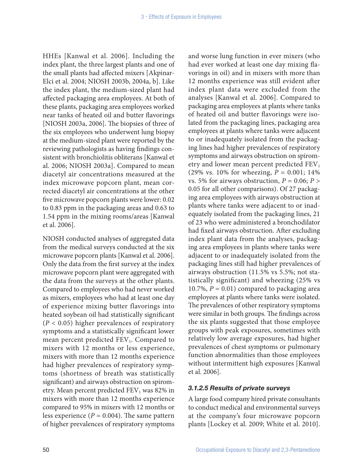HHEs [Kanwal et al. 2006]. Including the index plant, the three largest plants and one of the small plants had affected mixers [Akpinar-Elci et al. 2004; NIOSH 2003b, 2004a, b]. Like the index plant, the medium-sized plant had affected packaging area employees. At both of these plants, packaging area employees worked near tanks of heated oil and butter flavorings [NIOSH 2003a, 2006]. The biopsies of three of the six employees who underwent lung biopsy at the medium-sized plant were reported by the reviewing pathologists as having findings consistent with bronchiolitis obliterans [Kanwal et al. 2006; NIOSH 2003a]. Compared to mean diacetyl air concentrations measured at the index microwave popcorn plant, mean corrected diacetyl air concentrations at the other five microwave popcorn plants were lower: 0.02 to 0.83 ppm in the packaging areas and 0.63 to 1.54 ppm in the mixing rooms/areas [Kanwal et al. 2006].

NIOSH conducted analyses of aggregated data from the medical surveys conducted at the six microwave popcorn plants [Kanwal et al. 2006]. Only the data from the first survey at the index microwave popcorn plant were aggregated with the data from the surveys at the other plants. Compared to employees who had never worked as mixers, employees who had at least one day of experience mixing butter flavorings into heated soybean oil had statistically significant (*P* < 0.05) higher prevalences of respiratory symptoms and a statistically significant lower mean percent predicted  $FEV<sub>1</sub>$ . Compared to mixers with 12 months or less experience, mixers with more than 12 months experience had higher prevalences of respiratory symptoms (shortness of breath was statistically significant) and airways obstruction on spirometry. Mean percent predicted  $FEV<sub>1</sub>$  was 82% in mixers with more than 12 months experience compared to 95% in mixers with 12 months or less experience  $(P = 0.004)$ . The same pattern of higher prevalences of respiratory symptoms

and worse lung function in ever mixers (who had ever worked at least one day mixing flavorings in oil) and in mixers with more than 12 months experience was still evident after index plant data were excluded from the analyses [Kanwal et al. 2006]. Compared to packaging area employees at plants where tanks of heated oil and butter flavorings were isolated from the packaging lines, packaging area employees at plants where tanks were adjacent to or inadequately isolated from the packaging lines had higher prevalences of respiratory symptoms and airways obstruction on spirometry and lower mean percent predicted  $FEV<sub>1</sub>$ (29% vs. 10% for wheezing, *P* = 0.001; 14% vs. 5% for airways obstruction,  $P = 0.06; P >$ 0.05 for all other comparisons). Of 27 packaging area employees with airways obstruction at plants where tanks were adjacent to or inadequately isolated from the packaging lines, 21 of 23 who were administered a bronchodilator had fixed airways obstruction. After excluding index plant data from the analyses, packaging area employees in plants where tanks were adjacent to or inadequately isolated from the packaging lines still had higher prevalences of airways obstruction (11.5% vs 5.5%; not statistically significant) and wheezing (25% vs 10.7%,  $P = 0.01$ ) compared to packaging area employees at plants where tanks were isolated. The prevalences of other respiratory symptoms were similar in both groups. The findings across the six plants suggested that those employee groups with peak exposures, sometimes with relatively low average exposures, had higher prevalences of chest symptoms or pulmonary function abnormalities than those employees without intermittent high exposures [Kanwal et al. 2006].

### *3.1.2.5 Results of private surveys*

A large food company hired private consultants to conduct medical and environmental surveys at the company's four microwave popcorn plants [Lockey et al. 2009; White et al. 2010].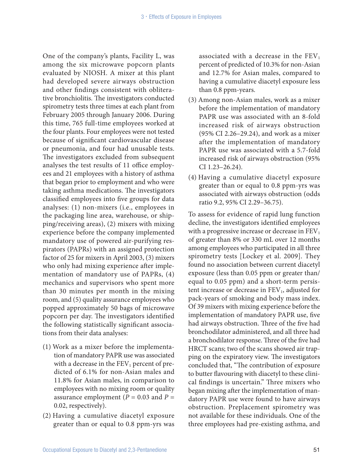One of the company's plants, Facility L, was among the six microwave popcorn plants evaluated by NIOSH. A mixer at this plant had developed severe airways obstruction and other findings consistent with obliterative bronchiolitis. The investigators conducted spirometry tests three times at each plant from February 2005 through January 2006. During this time, 765 full-time employees worked at the four plants. Four employees were not tested because of significant cardiovascular disease or pneumonia, and four had unusable tests. The investigators excluded from subsequent analyses the test results of 11 office employees and 21 employees with a history of asthma that began prior to employment and who were taking asthma medications. The investigators classified employees into five groups for data analyses: (1) non-mixers (i.e., employees in the packaging line area, warehouse, or shipping/receiving areas), (2) mixers with mixing experience before the company implemented mandatory use of powered air-purifying respirators (PAPRs) with an assigned protection factor of 25 for mixers in April 2003, (3) mixers who only had mixing experience after implementation of mandatory use of PAPRs, (4) mechanics and supervisors who spent more than 30 minutes per month in the mixing room, and (5) quality assurance employees who popped approximately 50 bags of microwave popcorn per day. The investigators identified the following statistically significant associations from their data analyses:

- (1) Work as a mixer before the implementation of mandatory PAPR use was associated with a decrease in the  $FEV<sub>1</sub>$  percent of predicted of 6.1% for non-Asian males and 11.8% for Asian males, in comparison to employees with no mixing room or quality assurance employment ( $P = 0.03$  and  $P =$ 0.02, respectively).
- (2) Having a cumulative diacetyl exposure greater than or equal to 0.8 ppm-yrs was

associated with a decrease in the  $FEV<sub>1</sub>$ percent of predicted of 10.3% for non-Asian and 12.7% for Asian males, compared to having a cumulative diacetyl exposure less than 0.8 ppm-years.

- (3) Among non-Asian males, work as a mixer before the implementation of mandatory PAPR use was associated with an 8-fold increased risk of airways obstruction (95% CI 2.26–29.24), and work as a mixer after the implementation of mandatory PAPR use was associated with a 5.7-fold increased risk of airways obstruction (95% CI 1.23–26.24).
- (4) Having a cumulative diacetyl exposure greater than or equal to 0.8 ppm-yrs was associated with airways obstruction (odds ratio 9.2, 95% CI 2.29–36.75).

To assess for evidence of rapid lung function decline, the investigators identified employees with a progressive increase or decrease in  $FEV<sub>1</sub>$ of greater than 8% or 330 mL over 12 months among employees who participated in all three spirometry tests [Lockey et al. 2009]. They found no association between current diacetyl exposure (less than 0.05 ppm or greater than/ equal to 0.05 ppm) and a short-term persistent increase or decrease in  $FEV<sub>1</sub>$ , adjusted for pack-years of smoking and body mass index. Of 39 mixers with mixing experience before the implementation of mandatory PAPR use, five had airways obstruction. Three of the five had bronchodilator administered, and all three had a bronchodilator response. Three of the five had HRCT scans; two of the scans showed air trapping on the expiratory view. The investigators concluded that, "The contribution of exposure to butter flavouring with diacetyl to these clinical findings is uncertain." Three mixers who began mixing after the implementation of mandatory PAPR use were found to have airways obstruction. Preplacement spirometry was not available for these individuals. One of the three employees had pre-existing asthma, and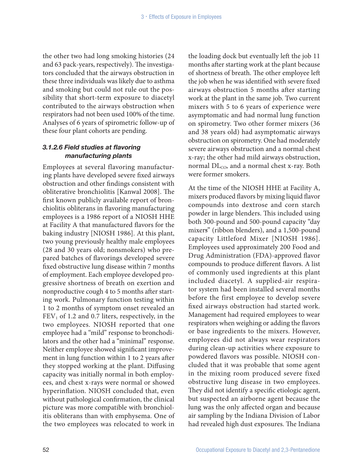the other two had long smoking histories (24 and 63 pack-years, respectively). The investigators concluded that the airways obstruction in these three individuals was likely due to asthma and smoking but could not rule out the possibility that short-term exposure to diacetyl contributed to the airways obstruction when respirators had not been used 100% of the time. Analyses of 6 years of spirometric follow-up of these four plant cohorts are pending.

#### *3.1.2.6 Field studies at flavoring manufacturing plants*

Employees at several flavoring manufacturing plants have developed severe fixed airways obstruction and other findings consistent with obliterative bronchiolitis [Kanwal 2008]. The first known publicly available report of bronchiolitis obliterans in flavoring manufacturing employees is a 1986 report of a NIOSH HHE at Facility A that manufactured flavors for the baking industry [NIOSH 1986]. At this plant, two young previously healthy male employees (28 and 30 years old; nonsmokers) who prepared batches of flavorings developed severe fixed obstructive lung disease within 7 months of employment. Each employee developed progressive shortness of breath on exertion and nonproductive cough 4 to 5 months after starting work. Pulmonary function testing within 1 to 2 months of symptom onset revealed an  $FEV<sub>1</sub>$  of 1.2 and 0.7 liters, respectively, in the two employees. NIOSH reported that one employee had a "mild" response to bronchodilators and the other had a "minimal" response. Neither employee showed significant improvement in lung function within 1 to 2 years after they stopped working at the plant. Diffusing capacity was initially normal in both employees, and chest x-rays were normal or showed hyperinflation. NIOSH concluded that, even without pathological confirmation, the clinical picture was more compatible with bronchiolitis obliterans than with emphysema. One of the two employees was relocated to work in

the loading dock but eventually left the job 11 months after starting work at the plant because of shortness of breath. The other employee left the job when he was identified with severe fixed airways obstruction 5 months after starting work at the plant in the same job. Two current mixers with 5 to 6 years of experience were asymptomatic and had normal lung function on spirometry. Two other former mixers (36 and 38 years old) had asymptomatic airways obstruction on spirometry. One had moderately severe airways obstruction and a normal chest x-ray; the other had mild airways obstruction, normal DL<sub>CO</sub>, and a normal chest x-ray. Both were former smokers.

At the time of the NIOSH HHE at Facility A, mixers produced flavors by mixing liquid flavor compounds into dextrose and corn starch powder in large blenders. This included using both 300-pound and 500-pound capacity "day mixers" (ribbon blenders), and a 1,500-pound capacity Littleford Mixer [NIOSH 1986]. Employees used approximately 200 Food and Drug Administration (FDA)-approved flavor compounds to produce different flavors. A list of commonly used ingredients at this plant included diacetyl. A supplied-air respirator system had been installed several months before the first employee to develop severe fixed airways obstruction had started work. Management had required employees to wear respirators when weighing or adding the flavors or base ingredients to the mixers. However, employees did not always wear respirators during clean-up activities where exposure to powdered flavors was possible. NIOSH concluded that it was probable that some agent in the mixing room produced severe fixed obstructive lung disease in two employees. They did not identify a specific etiologic agent, but suspected an airborne agent because the lung was the only affected organ and because air sampling by the Indiana Division of Labor had revealed high dust exposures. The Indiana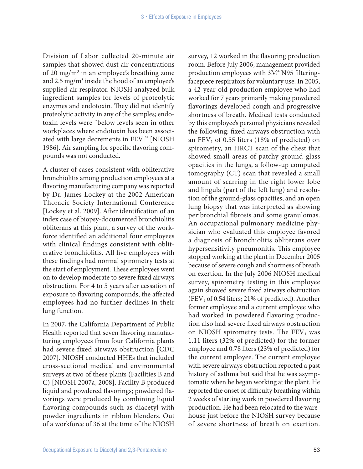Division of Labor collected 20-minute air samples that showed dust air concentrations of 20 mg/m<sup>3</sup> in an employee's breathing zone and  $2.5 \text{ mg/m}^3$  inside the hood of an employee's supplied-air respirator. NIOSH analyzed bulk ingredient samples for levels of proteolytic enzymes and endotoxin. They did not identify proteolytic activity in any of the samples; endotoxin levels were "below levels seen in other workplaces where endotoxin has been associated with large decrements in  $FEV<sub>1</sub>$ " [NIOSH 1986]. Air sampling for specific flavoring compounds was not conducted.

A cluster of cases consistent with obliterative bronchiolitis among production employees at a flavoring manufacturing company was reported by Dr. James Lockey at the 2002 American Thoracic Society International Conference [Lockey et al. 2009]. After identification of an index case of biopsy-documented bronchiolitis obliterans at this plant, a survey of the workforce identified an additional four employees with clinical findings consistent with obliterative bronchiolitis. All five employees with these findings had normal spirometry tests at the start of employment. These employees went on to develop moderate to severe fixed airways obstruction. For 4 to 5 years after cessation of exposure to flavoring compounds, the affected employees had no further declines in their lung function.

In 2007, the California Department of Public Health reported that seven flavoring manufacturing employees from four California plants had severe fixed airways obstruction [CDC 2007]. NIOSH conducted HHEs that included cross-sectional medical and environmental surveys at two of these plants (Facilities B and C) [NIOSH 2007a, 2008]. Facility B produced liquid and powdered flavorings; powdered flavorings were produced by combining liquid flavoring compounds such as diacetyl with powder ingredients in ribbon blenders. Out of a workforce of 36 at the time of the NIOSH

survey, 12 worked in the flavoring production room. Before July 2006, management provided production employees with 3M® N95 filteringfacepiece respirators for voluntary use. In 2005, a 42-year-old production employee who had worked for 7 years primarily making powdered flavorings developed cough and progressive shortness of breath. Medical tests conducted by this employee's personal physicians revealed the following: fixed airways obstruction with an  $FEV<sub>1</sub>$  of 0.55 liters (18% of predicted) on spirometry, an HRCT scan of the chest that showed small areas of patchy ground-glass opacities in the lungs, a follow-up computed tomography (CT) scan that revealed a small amount of scarring in the right lower lobe and lingula (part of the left lung) and resolution of the ground-glass opacities, and an open lung biopsy that was interpreted as showing peribronchial fibrosis and some granulomas. An occupational pulmonary medicine physician who evaluated this employee favored a diagnosis of bronchiolitis obliterans over hypersensitivity pneumonitis. This employee stopped working at the plant in December 2005 because of severe cough and shortness of breath on exertion. In the July 2006 NIOSH medical survey, spirometry testing in this employee again showed severe fixed airways obstruction  $(FEV<sub>1</sub>$  of 0.54 liters; 21% of predicted). Another former employee and a current employee who had worked in powdered flavoring production also had severe fixed airways obstruction on NIOSH spirometry tests. The  $FEV<sub>1</sub>$  was 1.11 liters (32% of predicted) for the former employee and 0.78 liters (23% of predicted) for the current employee. The current employee with severe airways obstruction reported a past history of asthma but said that he was asymptomatic when he began working at the plant. He reported the onset of difficulty breathing within 2 weeks of starting work in powdered flavoring production. He had been relocated to the warehouse just before the NIOSH survey because of severe shortness of breath on exertion.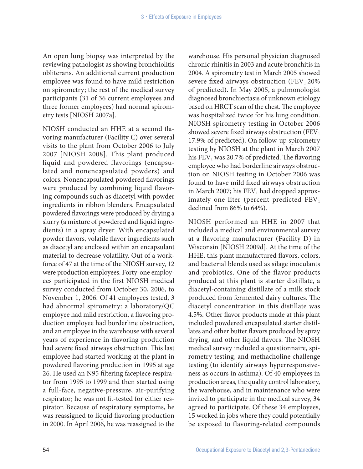An open lung biopsy was interpreted by the reviewing pathologist as showing bronchiolitis obliterans. An additional current production employee was found to have mild restriction on spirometry; the rest of the medical survey participants (31 of 36 current employees and three former employees) had normal spirometry tests [NIOSH 2007a].

NIOSH conducted an HHE at a second flavoring manufacturer (Facility C) over several visits to the plant from October 2006 to July 2007 [NIOSH 2008]. This plant produced liquid and powdered flavorings (encapsulated and nonencapsulated powders) and colors. Nonencapsulated powdered flavorings were produced by combining liquid flavoring compounds such as diacetyl with powder ingredients in ribbon blenders. Encapsulated powdered flavorings were produced by drying a slurry (a mixture of powdered and liquid ingredients) in a spray dryer. With encapsulated powder flavors, volatile flavor ingredients such as diacetyl are enclosed within an encapsulant material to decrease volatility. Out of a workforce of 47 at the time of the NIOSH survey, 12 were production employees. Forty-one employees participated in the first NIOSH medical survey conducted from October 30, 2006, to November 1, 2006. Of 41 employees tested, 3 had abnormal spirometry: a laboratory/QC employee had mild restriction, a flavoring production employee had borderline obstruction, and an employee in the warehouse with several years of experience in flavoring production had severe fixed airways obstruction. This last employee had started working at the plant in powdered flavoring production in 1995 at age 26. He used an N95 filtering facepiece respirator from 1995 to 1999 and then started using a full-face, negative-pressure, air-purifying respirator; he was not fit-tested for either respirator. Because of respiratory symptoms, he was reassigned to liquid flavoring production in 2000. In April 2006, he was reassigned to the

warehouse. His personal physician diagnosed chronic rhinitis in 2003 and acute bronchitis in 2004. A spirometry test in March 2005 showed severe fixed airways obstruction  $(FEV<sub>1</sub> 20\%)$ of predicted). In May 2005, a pulmonologist diagnosed bronchiectasis of unknown etiology based on HRCT scan of the chest. The employee was hospitalized twice for his lung condition. NIOSH spirometry testing in October 2006 showed severe fixed airways obstruction (FEV<sub>1</sub> 17.9% of predicted). On follow-up spirometry testing by NIOSH at the plant in March 2007 his  $FEV<sub>1</sub>$  was 20.7% of predicted. The flavoring employee who had borderline airways obstruction on NIOSH testing in October 2006 was found to have mild fixed airways obstruction in March 2007; his  $FEV<sub>1</sub>$  had dropped approximately one liter (percent predicted  $FEV<sub>1</sub>$ declined from 86% to 64%).

NIOSH performed an HHE in 2007 that included a medical and environmental survey at a flavoring manufacturer (Facility D) in Wisconsin [NIOSH 2009d]. At the time of the HHE, this plant manufactured flavors, colors, and bacterial blends used as silage inoculants and probiotics. One of the flavor products produced at this plant is starter distillate, a diacetyl-containing distillate of a milk stock produced from fermented dairy cultures. The diacetyl concentration in this distillate was 4.5%. Other flavor products made at this plant included powdered encapsulated starter distillates and other butter flavors produced by spray drying, and other liquid flavors. The NIOSH medical survey included a questionnaire, spirometry testing, and methacholine challenge testing (to identify airways hyperresponsiveness as occurs in asthma). Of 40 employees in production areas, the quality control laboratory, the warehouse, and in maintenance who were invited to participate in the medical survey, 34 agreed to participate. Of these 34 employees, 15 worked in jobs where they could potentially be exposed to flavoring-related compounds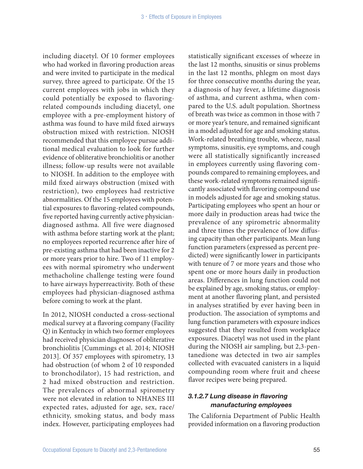including diacetyl. Of 10 former employees who had worked in flavoring production areas and were invited to participate in the medical survey, three agreed to participate. Of the 15 current employees with jobs in which they could potentially be exposed to flavoringrelated compounds including diacetyl, one employee with a pre-employment history of asthma was found to have mild fixed airways obstruction mixed with restriction. NIOSH recommended that this employee pursue additional medical evaluation to look for further evidence of obliterative bronchiolitis or another illness; follow-up results were not available to NIOSH. In addition to the employee with mild fixed airways obstruction (mixed with restriction), two employees had restrictive abnormalities. Of the 15 employees with potential exposures to flavoring-related compounds, five reported having currently active physiciandiagnosed asthma. All five were diagnosed with asthma before starting work at the plant; no employees reported recurrence after hire of pre-existing asthma that had been inactive for 2 or more years prior to hire. Two of 11 employees with normal spirometry who underwent methacholine challenge testing were found to have airways hyperreactivity. Both of these employees had physician-diagnosed asthma before coming to work at the plant.

In 2012, NIOSH conducted a cross-sectional medical survey at a flavoring company (Facility Q) in Kentucky in which two former employees had received physician diagnoses of obliterative bronchiolitis [Cummings et al. 2014; NIOSH 2013]. Of 357 employees with spirometry, 13 had obstruction (of whom 2 of 10 responded to bronchodilator), 15 had restriction, and 2 had mixed obstruction and restriction. The prevalences of abnormal spirometry were not elevated in relation to NHANES III expected rates, adjusted for age, sex, race/ ethnicity, smoking status, and body mass index. However, participating employees had

statistically significant excesses of wheeze in the last 12 months, sinusitis or sinus problems in the last 12 months, phlegm on most days for three consecutive months during the year, a diagnosis of hay fever, a lifetime diagnosis of asthma, and current asthma, when compared to the U.S. adult population. Shortness of breath was twice as common in those with 7 or more year's tenure, and remained significant in a model adjusted for age and smoking status. Work-related breathing trouble, wheeze, nasal symptoms, sinusitis, eye symptoms, and cough were all statistically significantly increased in employees currently using flavoring compounds compared to remaining employees, and these work-related symptoms remained significantly associated with flavoring compound use in models adjusted for age and smoking status. Participating employees who spent an hour or more daily in production areas had twice the prevalence of any spirometric abnormality and three times the prevalence of low diffusing capacity than other participants. Mean lung function parameters (expressed as percent predicted) were significantly lower in participants with tenure of 7 or more years and those who spent one or more hours daily in production areas. Differences in lung function could not be explained by age, smoking status, or employment at another flavoring plant, and persisted in analyses stratified by ever having been in production. The association of symptoms and lung function parameters with exposure indices suggested that they resulted from workplace exposures. Diacetyl was not used in the plant during the NIOSH air sampling, but 2,3-pentanedione was detected in two air samples collected with evacuated canisters in a liquid compounding room where fruit and cheese flavor recipes were being prepared.

### *3.1.2.7 Lung disease in flavoring manufacturing employees*

The California Department of Public Health provided information on a flavoring production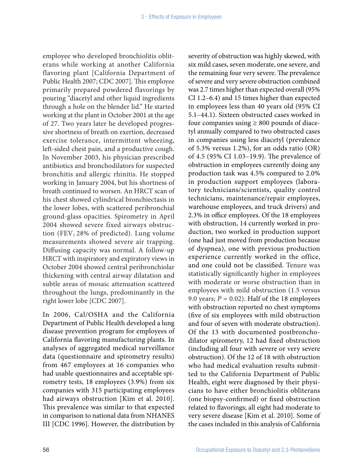employee who developed bronchiolitis obliterans while working at another California flavoring plant [California Department of Public Health 2007; CDC 2007]. This employee primarily prepared powdered flavorings by pouring "diacetyl and other liquid ingredients through a hole on the blender lid." He started working at the plant in October 2001 at the age of 27. Two years later he developed progressive shortness of breath on exertion, decreased exercise tolerance, intermittent wheezing, left-sided chest pain, and a productive cough. In November 2003, his physician prescribed antibiotics and bronchodilators for suspected bronchitis and allergic rhinitis. He stopped working in January 2004, but his shortness of breath continued to worsen. An HRCT scan of his chest showed cylindrical bronchiectasis in the lower lobes, with scattered peribronchial ground-glass opacities. Spirometry in April 2004 showed severe fixed airways obstruction (FEV<sub>1</sub> 28% of predicted). Lung volume measurements showed severe air trapping. Diffusing capacity was normal. A follow-up HRCT with inspiratory and expiratory views in October 2004 showed central peribronchiolar thickening with central airway dilatation and subtle areas of mosaic attenuation scattered throughout the lungs, predominantly in the right lower lobe [CDC 2007].

In 2006, Cal/OSHA and the California Department of Public Health developed a lung disease prevention program for employees of California flavoring manufacturing plants. In analyses of aggregated medical surveillance data (questionnaire and spirometry results) from 467 employees at 16 companies who had usable questionnaires and acceptable spirometry tests, 18 employees (3.9%) from six companies with 315 participating employees had airways obstruction [Kim et al. 2010]. This prevalence was similar to that expected in comparison to national data from NHANES III [CDC 1996]. However, the distribution by

severity of obstruction was highly skewed, with six mild cases, seven moderate, one severe, and the remaining four very severe. The prevalence of severe and very severe obstruction combined was 2.7 times higher than expected overall (95% CI 1.2–6.4) and 15 times higher than expected in employees less than 40 years old (95% CI 5.1–44.1). Sixteen obstructed cases worked in four companies using  $\geq 800$  pounds of diacetyl annually compared to two obstructed cases in companies using less diacetyl (prevalence of 5.3% versus 1.2%), for an odds ratio (OR) of 4.5 (95% CI 1.03–19.9). The prevalence of obstruction in employees currently doing any production task was 4.5% compared to 2.0% in production support employees (laboratory technicians/scientists, quality control technicians, maintenance/repair employees, warehouse employees, and truck drivers) and 2.3% in office employees. Of the 18 employees with obstruction, 14 currently worked in production, two worked in production support (one had just moved from production because of dyspnea), one with previous production experience currently worked in the office, and one could not be classified. Tenure was statistically significantly higher in employees with moderate or worse obstruction than in employees with mild obstruction (1.5 versus 9.0 years;  $P = 0.02$ ). Half of the 18 employees with obstruction reported no chest symptoms (five of six employees with mild obstruction and four of seven with moderate obstruction). Of the 13 with documented postbronchodilator spirometry, 12 had fixed obstruction (including all four with severe or very severe obstruction). Of the 12 of 18 with obstruction who had medical evaluation results submitted to the California Department of Public Health, eight were diagnosed by their physicians to have either bronchiolitis obliterans (one biopsy-confirmed) or fixed obstruction related to flavorings; all eight had moderate to very severe disease [Kim et al. 2010]. Some of the cases included in this analysis of California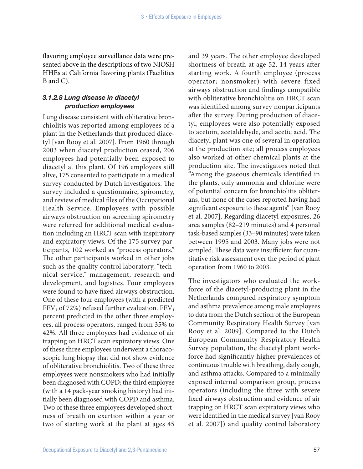flavoring employee surveillance data were presented above in the descriptions of two NIOSH HHEs at California flavoring plants (Facilities B and C).

#### *3.1.2.8 Lung disease in diacetyl production employees*

Lung disease consistent with obliterative bronchiolitis was reported among employees of a plant in the Netherlands that produced diacetyl [van Rooy et al. 2007]. From 1960 through 2003 when diacetyl production ceased, 206 employees had potentially been exposed to diacetyl at this plant. Of 196 employees still alive, 175 consented to participate in a medical survey conducted by Dutch investigators. The survey included a questionnaire, spirometry, and review of medical files of the Occupational Health Service. Employees with possible airways obstruction on screening spirometry were referred for additional medical evaluation including an HRCT scan with inspiratory and expiratory views. Of the 175 survey participants, 102 worked as "process operators." The other participants worked in other jobs such as the quality control laboratory, "technical service," management, research and development, and logistics. Four employees were found to have fixed airways obstruction. One of these four employees (with a predicted  $FEV<sub>1</sub>$  of 72%) refused further evaluation.  $FEV<sub>1</sub>$ percent predicted in the other three employees, all process operators, ranged from 35% to 42%. All three employees had evidence of air trapping on HRCT scan expiratory views. One of these three employees underwent a thoracoscopic lung biopsy that did not show evidence of obliterative bronchiolitis. Two of these three employees were nonsmokers who had initially been diagnosed with COPD; the third employee (with a 14 pack-year smoking history) had initially been diagnosed with COPD and asthma. Two of these three employees developed shortness of breath on exertion within a year or two of starting work at the plant at ages 45

and 39 years. The other employee developed shortness of breath at age 52, 14 years after starting work. A fourth employee (process operator; nonsmoker) with severe fixed airways obstruction and findings compatible with obliterative bronchiolitis on HRCT scan was identified among survey nonparticipants after the survey. During production of diacetyl, employees were also potentially exposed to acetoin, acetaldehyde, and acetic acid. The diacetyl plant was one of several in operation at the production site; all process employees also worked at other chemical plants at the production site. The investigators noted that "Among the gaseous chemicals identified in the plants, only ammonia and chlorine were of potential concern for bronchiolitis obliterans, but none of the cases reported having had significant exposure to these agents" [van Rooy et al. 2007]. Regarding diacetyl exposures, 26 area samples (82–219 minutes) and 4 personal task-based samples (33–90 minutes) were taken between 1995 and 2003. Many jobs were not sampled. These data were insufficient for quantitative risk assessment over the period of plant operation from 1960 to 2003.

The investigators who evaluated the workforce of the diacetyl-producing plant in the Netherlands compared respiratory symptom and asthma prevalence among male employees to data from the Dutch section of the European Community Respiratory Health Survey [van Rooy et al. 2009]. Compared to the Dutch European Community Respiratory Health Survey population, the diacetyl plant workforce had significantly higher prevalences of continuous trouble with breathing, daily cough, and asthma attacks. Compared to a minimally exposed internal comparison group, process operators (including the three with severe fixed airways obstruction and evidence of air trapping on HRCT scan expiratory views who were identified in the medical survey [van Rooy et al. 2007]) and quality control laboratory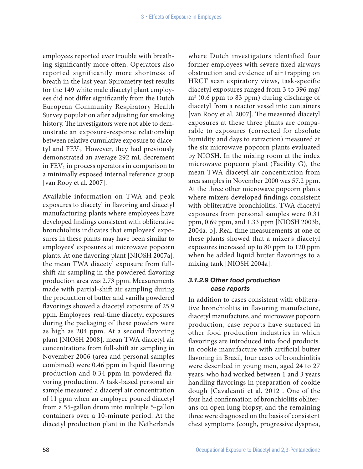employees reported ever trouble with breathing significantly more often. Operators also reported significantly more shortness of breath in the last year. Spirometry test results for the 149 white male diacetyl plant employees did not differ significantly from the Dutch European Community Respiratory Health Survey population after adjusting for smoking history. The investigators were not able to demonstrate an exposure-response relationship between relative cumulative exposure to diacetyl and  $FEV<sub>1</sub>$ . However, they had previously demonstrated an average 292 mL decrement in  $FEV<sub>1</sub>$  in process operators in comparison to a minimally exposed internal reference group [van Rooy et al. 2007].

Available information on TWA and peak exposures to diacetyl in flavoring and diacetyl manufacturing plants where employees have developed findings consistent with obliterative bronchiolitis indicates that employees' exposures in these plants may have been similar to employees' exposures at microwave popcorn plants. At one flavoring plant [NIOSH 2007a], the mean TWA diacetyl exposure from fullshift air sampling in the powdered flavoring production area was 2.73 ppm. Measurements made with partial-shift air sampling during the production of butter and vanilla powdered flavorings showed a diacetyl exposure of 25.9 ppm. Employees' real-time diacetyl exposures during the packaging of these powders were as high as 204 ppm. At a second flavoring plant [NIOSH 2008], mean TWA diacetyl air concentrations from full-shift air sampling in November 2006 (area and personal samples combined) were 0.46 ppm in liquid flavoring production and 0.34 ppm in powdered flavoring production. A task-based personal air sample measured a diacetyl air concentration of 11 ppm when an employee poured diacetyl from a 55-gallon drum into multiple 5-gallon containers over a 10-minute period. At the diacetyl production plant in the Netherlands

where Dutch investigators identified four former employees with severe fixed airways obstruction and evidence of air trapping on HRCT scan expiratory views, task-specific diacetyl exposures ranged from 3 to 396 mg/ m3 (0.6 ppm to 83 ppm) during discharge of diacetyl from a reactor vessel into containers [van Rooy et al. 2007]. The measured diacetyl exposures at these three plants are comparable to exposures (corrected for absolute humidity and days to extraction) measured at the six microwave popcorn plants evaluated by NIOSH. In the mixing room at the index microwave popcorn plant (Facility G), the mean TWA diacetyl air concentration from area samples in November 2000 was 57.2 ppm. At the three other microwave popcorn plants where mixers developed findings consistent with obliterative bronchiolitis, TWA diacetyl exposures from personal samples were 0.31 ppm, 0.69 ppm, and 1.33 ppm [NIOSH 2003b, 2004a, b]. Real-time measurements at one of these plants showed that a mixer's diacetyl exposures increased up to 80 ppm to 120 ppm when he added liquid butter flavorings to a mixing tank [NIOSH 2004a].

### *3.1.2.9 Other food production case reports*

In addition to cases consistent with obliterative bronchiolitis in flavoring manufacture, diacetyl manufacture, and microwave popcorn production, case reports have surfaced in other food production industries in which flavorings are introduced into food products. In cookie manufacture with artificial butter flavoring in Brazil, four cases of bronchiolitis were described in young men, aged 24 to 27 years, who had worked between 1 and 3 years handling flavorings in preparation of cookie dough [Cavalcanti et al. 2012]. One of the four had confirmation of bronchiolitis obliterans on open lung biopsy, and the remaining three were diagnosed on the basis of consistent chest symptoms (cough, progressive dyspnea,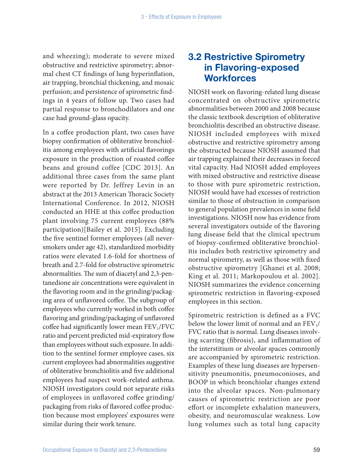and wheezing); moderate to severe mixed obstructive and restrictive spirometry; abnormal chest CT findings of lung hyperinflation, air trapping, bronchial thickening, and mosaic perfusion; and persistence of spirometric findings in 4 years of follow up. Two cases had partial response to bronchodilators and one case had ground-glass opacity.

In a coffee production plant, two cases have biopsy confirmation of obliterative bronchiolitis among employees with artificial flavorings exposure in the production of roasted coffee beans and ground coffee [CDC 2013]. An additional three cases from the same plant were reported by Dr. Jeffrey Levin in an abstract at the 2013 American Thoracic Society International Conference. In 2012, NIOSH conducted an HHE at this coffee production plant involving 75 current employees (88% participation)[Bailey et al. 2015]. Excluding the five sentinel former employees (all neversmokers under age 42), standardized morbidity ratios were elevated 1.6-fold for shortness of breath and 2.7-fold for obstructive spirometric abnormalities. The sum of diacetyl and 2,3-pentanedione air concentrations were equivalent in the flavoring room and in the grinding/packaging area of unflavored coffee. The subgroup of employees who currently worked in both coffee flavoring and grinding/packaging of unflavored coffee had significantly lower mean  $FEV<sub>1</sub>/FVC$ ratio and percent predicted mid-expiratory flow than employees without such exposure. In addition to the sentinel former employee cases, six current employees had abnormalities suggestive of obliterative bronchiolitis and five additional employees had suspect work-related asthma. NIOSH investigators could not separate risks of employees in unflavored coffee grinding/ packaging from risks of flavored coffee production because most employees' exposures were similar during their work tenure.

## 3.2 Restrictive Spirometry in Flavoring-exposed **Workforces**

NIOSH work on flavoring-related lung disease concentrated on obstructive spirometric abnormalities between 2000 and 2008 because the classic textbook description of obliterative bronchiolitis described an obstructive disease. NIOSH included employees with mixed obstructive and restrictive spirometry among the obstructed because NIOSH assumed that air trapping explained their decreases in forced vital capacity. Had NIOSH added employees with mixed obstructive and restrictive disease to those with pure spirometric restriction, NIOSH would have had excesses of restriction similar to those of obstruction in comparison to general population prevalences in some field investigations. NIOSH now has evidence from several investigators outside of the flavoring lung disease field that the clinical spectrum of biopsy-confirmed obliterative bronchiolitis includes both restrictive spirometry and normal spirometry, as well as those with fixed obstructive spirometry [Ghanei et al. 2008; King et al. 2011; Markopoulou et al. 2002]. NIOSH summarizes the evidence concerning spirometric restriction in flavoring-exposed employees in this section.

Spirometric restriction is defined as a FVC below the lower limit of normal and an  $FEV<sub>1</sub>/$ FVC ratio that is normal. Lung diseases involving scarring (fibrosis), and inflammation of the interstitium or alveolar spaces commonly are accompanied by spirometric restriction. Examples of these lung diseases are hypersensitivity pneumonitis, pneumoconioses, and BOOP in which bronchiolar changes extend into the alveolar spaces. Non-pulmonary causes of spirometric restriction are poor effort or incomplete exhalation maneuvers, obesity, and neuromuscular weakness. Low lung volumes such as total lung capacity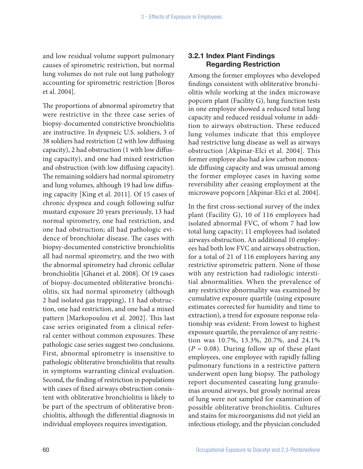and low residual volume support pulmonary causes of spirometric restriction, but normal lung volumes do not rule out lung pathology accounting for spirometric restriction [Boros et al. 2004].

The proportions of abnormal spirometry that were restrictive in the three case series of biopsy-documented constrictive bronchiolitis are instructive. In dyspneic U.S. soldiers, 3 of 38 soldiers had restriction (2 with low diffusing capacity), 2 had obstruction (1 with low diffusing capacity), and one had mixed restriction and obstruction (with low diffusing capacity). The remaining soldiers had normal spirometry and lung volumes, although 19 had low diffusing capacity [King et al. 2011]. Of 15 cases of chronic dyspnea and cough following sulfur mustard exposure 20 years previously, 13 had normal spirometry, one had restriction, and one had obstruction; all had pathologic evidence of bronchiolar disease. The cases with biopsy-documented constrictive bronchiolitis all had normal spirometry, and the two with the abnormal spirometry had chronic cellular bronchiolitis [Ghanei et al. 2008]. Of 19 cases of biopsy-documented obliterative bronchiolitis, six had normal spirometry (although 2 had isolated gas trapping), 11 had obstruction, one had restriction, and one had a mixed pattern [Markopoulou et al. 2002]. This last case series originated from a clinical referral center without common exposures. These pathologic case series suggest two conclusions. First, abnormal spirometry is insensitive to pathologic obliterative bronchiolitis that results in symptoms warranting clinical evaluation. Second, the finding of restriction in populations with cases of fixed airways obstruction consistent with obliterative bronchiolitis is likely to be part of the spectrum of obliterative bronchiolitis, although the differential diagnosis in individual employees requires investigation.

### 3.2.1 Index Plant Findings Regarding Restriction

Among the former employees who developed findings consistent with obliterative bronchiolitis while working at the index microwave popcorn plant (Facility G), lung function tests in one employee showed a reduced total lung capacity and reduced residual volume in addition to airways obstruction. These reduced lung volumes indicate that this employee had restrictive lung disease as well as airways obstruction [Akpinar-Elci et al. 2004]. This former employee also had a low carbon monoxide diffusing capacity and was unusual among the former employee cases in having some reversibility after ceasing employment at the microwave popcorn [Akpinar-Elci et al. 2004].

In the first cross-sectional survey of the index plant (Facility G), 10 of 116 employees had isolated abnormal FVC, of whom 7 had low total lung capacity; 11 employees had isolated airways obstruction. An additional 10 employees had both low FVC and airways obstruction, for a total of 21 of 116 employees having any restrictive spirometric pattern. None of those with any restriction had radiologic interstitial abnormalities. When the prevalence of any restrictive abnormality was examined by cumulative exposure quartile (using exposure estimates corrected for humidity and time to extraction), a trend for exposure response relationship was evident: From lowest to highest exposure quartile, the prevalence of any restriction was 10.7%, 13.3%, 20.7%, and 24.1%  $(P = 0.08)$ . During follow up of these plant employees, one employee with rapidly falling pulmonary functions in a restrictive pattern underwent open lung biopsy. The pathology report documented caseating lung granulomas around airways, but grossly normal areas of lung were not sampled for examination of possible obliterative bronchiolitis. Cultures and stains for microorganisms did not yield an infectious etiology, and the physician concluded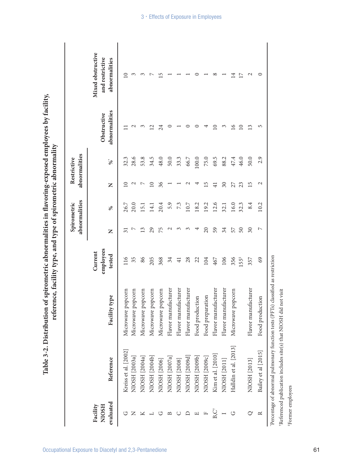|                                       |                       |                     |                                |                       | abnormalities<br>Spirometric |                 | abnormalities<br>Restrictive |                              |                                                       |
|---------------------------------------|-----------------------|---------------------|--------------------------------|-----------------------|------------------------------|-----------------|------------------------------|------------------------------|-------------------------------------------------------|
| evaluated<br>Facility<br><b>HSOIN</b> | Reference             | type<br>Facility    | employees<br>Current<br>tested | Z                     | $\%$                         | Z               | $\mathrm{S}_0^*$             | abnormalities<br>Obstructive | Mixed obstructive<br>and restrictive<br>abnormalities |
| ロ                                     | Kreiss et al. [2002]  | Microwave popcorn   | 116                            | 51                    | 26.7                         | $\subseteq$     | 32.3                         |                              | $\overline{10}$                                       |
| z                                     | NIOSH [2003a]         | Microwave popcorn   | 35                             | Ի                     | 20.0                         | $\mathcal{C}$   | 28.6                         | $\sim$                       | S                                                     |
|                                       | NIOSH [2004a]         | Microwave popcorn   | 86                             | $\mathbf{1}$          | $\overline{5}$ .             | $\overline{ }$  | 53.8                         |                              |                                                       |
|                                       | NIOSH [2004b]         | Microwave popcorn   | 205                            | 29                    | $\overline{14.1}$            | $\overline{10}$ | 34.5                         | Ń                            |                                                       |
|                                       | NIOSH [2006]          | Microwave popcorn   | 368                            | 75                    | 20.4                         | 36              | 48.0                         | 24                           | S                                                     |
|                                       | NIOSH [2007a]         | Flavor manufacturer | 34                             | $\sim$                | 5.9                          |                 | 50.0                         |                              |                                                       |
|                                       | NIOSH [2008]          | Flavor manufacturer | $\overline{+}$                 | ς                     | 7.3                          |                 | 33.3                         |                              |                                                       |
|                                       | NIOSH [2009d]         | Flavor manufacturer | 28                             | $\tilde{\phantom{0}}$ | 10.7                         |                 | 66.7                         |                              |                                                       |
| 凹                                     | NIOSH [2009b]         | Food production     | 22                             |                       | 18.2                         |                 | 100.0                        |                              |                                                       |
| щ                                     | NIOSH [2009c]         | Food preparation    | 104                            | $\overline{c}$        | 19.2                         | 15              | 75.0                         |                              |                                                       |
| $B, C^{\dagger}$                      | Kim et al. [2010]     | Flavor manufacturer | 467                            | 59                    | 12.6                         | $\overline{41}$ | 69.5                         | $\Xi$                        |                                                       |
|                                       | NIOSH [2011]          | Flavor manufacturer | 106                            | 34                    | 32.1                         | $30\,$          | 88.2                         | $\tilde{\phantom{0}}$        |                                                       |
| G                                     | Halldin et al. [2013] | Microwave popcorn   | 356                            | 57                    | 16.0                         | 27              | 47.4                         | $\geq$                       | 4                                                     |
|                                       |                       |                     | 55#                            | 50                    | 32.3                         | 23              | 46.0                         | $\overline{10}$              | Ņ                                                     |
|                                       | NIOSH [2013]          | Flavor manufacturer | 357                            | $30\,$                | 8.4                          | 15              | 50.0                         | $\tilde{\mathbf{c}}$         |                                                       |
| ≃                                     | Bailey et al [2015]   | Food production     | 69                             | ↖                     | 10.2                         | $\mathbf 2$     | 2.9                          | 5                            |                                                       |

Table 3-2. Distribution of spirometric abnormalities in flavoring-exposed employees by facility, **Table 3-2. Distribution of spirometric abnormalities in flavoring-exposed employees by facility,**  reference, facility type, and type of spirometric abnormality **reference, facility type, and type of spirometric abnormality**

Percentage of abnormal pulmonary function tests (PFTs) classified as restriction \*Percentage of abnormal pulmonary function tests (PFTs) classified as restriction 'Referenced publication includes site(s) that NIOSH did not visit †Referenced publication includes site(s) that NIOSH did not visit *\*Former employees* 

‡Former employees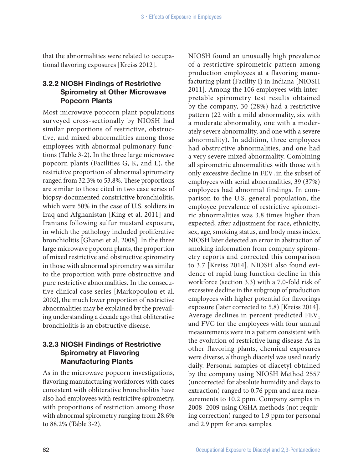that the abnormalities were related to occupational flavoring exposures [Kreiss 2012].

### 3.2.2 NIOSH Findings of Restrictive Spirometry at Other Microwave Popcorn Plants

Most microwave popcorn plant populations surveyed cross-sectionally by NIOSH had similar proportions of restrictive, obstructive, and mixed abnormalities among those employees with abnormal pulmonary functions (Table 3-2). In the three large microwave popcorn plants (Facilities G, K, and L), the restrictive proportion of abnormal spirometry ranged from 32.3% to 53.8%. These proportions are similar to those cited in two case series of biopsy-documented constrictive bronchiolitis, which were 50% in the case of U.S. soldiers in Iraq and Afghanistan [King et al. 2011] and Iranians following sulfur mustard exposure, in which the pathology included proliferative bronchiolitis [Ghanei et al. 2008]. In the three large microwave popcorn plants, the proportion of mixed restrictive and obstructive spirometry in those with abnormal spirometry was similar to the proportion with pure obstructive and pure restrictive abnormalities. In the consecutive clinical case series [Markopoulou et al. 2002], the much lower proportion of restrictive abnormalities may be explained by the prevailing understanding a decade ago that obliterative bronchiolitis is an obstructive disease.

### 3.2.3 NIOSH Findings of Restrictive Spirometry at Flavoring Manufacturing Plants

As in the microwave popcorn investigations, flavoring manufacturing workforces with cases consistent with obliterative bronchiolitis have also had employees with restrictive spirometry, with proportions of restriction among those with abnormal spirometry ranging from 28.6% to 88.2% (Table 3-2).

NIOSH found an unusually high prevalence of a restrictive spirometric pattern among production employees at a flavoring manufacturing plant (Facility I) in Indiana [NIOSH 2011]. Among the 106 employees with interpretable spirometry test results obtained by the company, 30 (28%) had a restrictive pattern (22 with a mild abnormality, six with a moderate abnormality, one with a moderately severe abnormality, and one with a severe abnormality). In addition, three employees had obstructive abnormalities, and one had a very severe mixed abnormality. Combining all spirometric abnormalities with those with only excessive decline in  $FEV<sub>1</sub>$  in the subset of employees with serial abnormalities, 39 (37%) employees had abnormal findings. In comparison to the U.S. general population, the employee prevalence of restrictive spirometric abnormalities was 3.8 times higher than expected, after adjustment for race, ethnicity, sex, age, smoking status, and body mass index. NIOSH later detected an error in abstraction of smoking information from company spirometry reports and corrected this comparison to 3.7 [Kreiss 2014]. NIOSH also found evidence of rapid lung function decline in this workforce (section 3.3) with a 7.0-fold risk of excessive decline in the subgroup of production employees with higher potential for flavorings exposure (later corrected to 5.8) [Kreiss 2014]. Average declines in percent predicted  $FEV<sub>1</sub>$ and FVC for the employees with four annual measurements were in a pattern consistent with the evolution of restrictive lung disease. As in other flavoring plants, chemical exposures were diverse, although diacetyl was used nearly daily. Personal samples of diacetyl obtained by the company using NIOSH Method 2557 (uncorrected for absolute humidity and days to extraction) ranged to 0.76 ppm and area measurements to 10.2 ppm. Company samples in 2008–2009 using OSHA methods (not requiring correction) ranged to 1.9 ppm for personal and 2.9 ppm for area samples.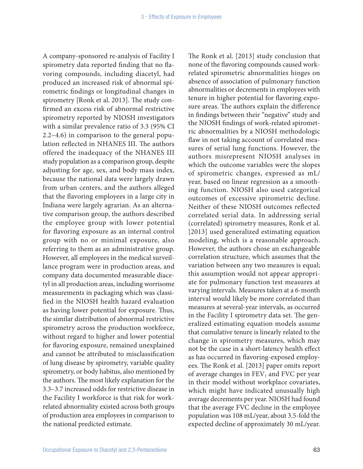A company-sponsored re-analysis of Facility I spirometry data reported finding that no flavoring compounds, including diacetyl, had produced an increased risk of abnormal spirometric findings or longitudinal changes in spirometry [Ronk et al. 2013]. The study confirmed an excess risk of abnormal restrictive spirometry reported by NIOSH investigators with a similar prevalence ratio of 3.3 (95% CI 2.2–4.6) in comparison to the general population reflected in NHANES III. The authors offered the inadequacy of the NHANES III study population as a comparison group, despite adjusting for age, sex, and body mass index, because the national data were largely drawn from urban centers, and the authors alleged that the flavoring employees in a large city in Indiana were largely agrarian. As an alternative comparison group, the authors described the employee group with lower potential for flavoring exposure as an internal control group with no or minimal exposure, also referring to them as an administrative group. However, all employees in the medical surveillance program were in production areas, and company data documented measurable diacetyl in all production areas, including worrisome measurements in packaging which was classified in the NIOSH health hazard evaluation as having lower potential for exposure. Thus, the similar distribution of abnormal restrictive spirometry across the production workforce, without regard to higher and lower potential for flavoring exposure, remained unexplained and cannot be attributed to misclassification of lung disease by spirometry, variable quality spirometry, or body habitus, also mentioned by the authors. The most likely explanation for the 3.3–3.7 increased odds for restrictive disease in the Facility I workforce is that risk for workrelated abnormality existed across both groups of production area employees in comparison to the national predicted estimate.

The Ronk et al. [2013] study conclusion that none of the flavoring compounds caused workrelated spirometric abnormalities hinges on absence of association of pulmonary function abnormalities or decrements in employees with tenure in higher potential for flavoring exposure areas. The authors explain the difference in findings between their "negative" study and the NIOSH findings of work-related spirometric abnormalities by a NIOSH methodologic flaw in not taking account of correlated measures of serial lung functions. However, the authors misrepresent NIOSH analyses in which the outcome variables were the slopes of spirometric changes, expressed as mL/ year, based on linear regression as a smoothing function. NIOSH also used categorical outcomes of excessive spirometric decline. Neither of these NIOSH outcomes reflected correlated serial data. In addressing serial (correlated) spirometry measures, Ronk et al. [2013] used generalized estimating equation modeling, which is a reasonable approach. However, the authors chose an exchangeable correlation structure, which assumes that the variation between any two measures is equal; this assumption would not appear appropriate for pulmonary function test measures at varying intervals. Measures taken at a 6-month interval would likely be more correlated than measures at several-year intervals, as occurred in the Facility I spirometry data set. The generalized estimating equation models assume that cumulative tenure is linearly related to the change in spirometry measures, which may not be the case in a short-latency health effect as has occurred in flavoring-exposed employees. The Ronk et al. [2013] paper omits report of average changes in  $FEV<sub>1</sub>$  and FVC per year in their model without workplace covariates, which might have indicated unusually high average decrements per year. NIOSH had found that the average FVC decline in the employee population was 108 mL/year, about 3.5-fold the expected decline of approximately 30 mL/year.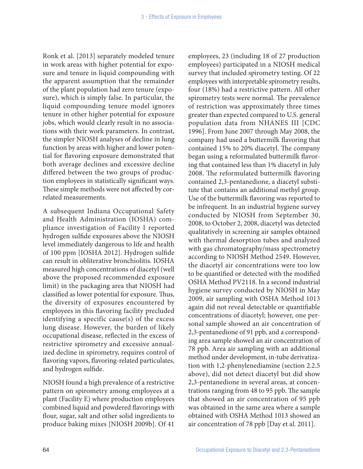Ronk et al. [2013] separately modeled tenure in work areas with higher potential for exposure and tenure in liquid compounding with the apparent assumption that the remainder of the plant population had zero tenure (exposure), which is simply false. In particular, the liquid compounding tenure model ignores tenure in other higher potential for exposure jobs, which would clearly result in no associations with their work parameters. In contrast, the simpler NIOSH analyses of decline in lung function by areas with higher and lower potential for flavoring exposure demonstrated that both average declines and excessive decline differed between the two groups of production employees in statistically significant ways. These simple methods were not affected by correlated measurements.

A subsequent Indiana Occupational Safety and Health Administration (IOSHA) compliance investigation of Facility I reported hydrogen sulfide exposures above the NIOSH level immediately dangerous to life and health of 100 ppm [IOSHA 2012]. Hydrogen sulfide can result in obliterative bronchiolitis. IOSHA measured high concentrations of diacetyl (well above the proposed recommended exposure limit) in the packaging area that NIOSH had classified as lower potential for exposure. Thus, the diversity of exposures encountered by employees in this flavoring facility precluded identifying a specific cause(s) of the excess lung disease. However, the burden of likely occupational disease, reflected in the excess of restrictive spirometry and excessive annualized decline in spirometry, requires control of flavoring vapors, flavoring-related particulates, and hydrogen sulfide.

NIOSH found a high prevalence of a restrictive pattern on spirometry among employees at a plant (Facility E) where production employees combined liquid and powdered flavorings with flour, sugar, salt and other solid ingredients to produce baking mixes [NIOSH 2009b]. Of 41

employees, 23 (including 18 of 27 production employees) participated in a NIOSH medical survey that included spirometry testing. Of 22 employees with interpretable spirometry results, four (18%) had a restrictive pattern. All other spirometry tests were normal. The prevalence of restriction was approximately three times greater than expected compared to U.S. general population data from NHANES III [CDC 1996]. From June 2007 through May 2008, the company had used a buttermilk flavoring that contained 15% to 20% diacetyl. The company began using a reformulated buttermilk flavoring that contained less than 1% diacetyl in July 2008. The reformulated buttermilk flavoring contained 2,3-pentanedione, a diacetyl substitute that contains an additional methyl group. Use of the buttermilk flavoring was reported to be infrequent. In an industrial hygiene survey conducted by NIOSH from September 30, 2008, to October 2, 2008, diacetyl was detected qualitatively in screening air samples obtained with thermal desorption tubes and analyzed with gas chromatography/mass spectrometry according to NIOSH Method 2549. However, the diacetyl air concentrations were too low to be quantified or detected with the modified OSHA Method PV2118. In a second industrial hygiene survey conducted by NIOSH in May 2009, air sampling with OSHA Method 1013 again did not reveal detectable or quantifiable concentrations of diacetyl; however, one personal sample showed an air concentration of 2,3-pentanedione of 91 ppb, and a corresponding area sample showed an air concentration of 78 ppb. Area air sampling with an additional method under development, in-tube derivatization with 1,2-phenylenediamine (section 2.2.5 above), did not detect diacetyl but did show 2,3-pentanedione in several areas, at concentrations ranging from 48 to 95 ppb. The sample that showed an air concentration of 95 ppb was obtained in the same area where a sample obtained with OSHA Method 1013 showed an air concentration of 78 ppb [Day et al. 2011].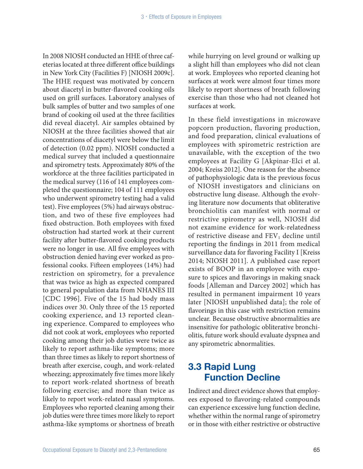In 2008 NIOSH conducted an HHE of three cafeterias located at three different office buildings in New York City (Facilities F) [NIOSH 2009c]. The HHE request was motivated by concern about diacetyl in butter-flavored cooking oils used on grill surfaces. Laboratory analyses of bulk samples of butter and two samples of one brand of cooking oil used at the three facilities did reveal diacetyl. Air samples obtained by NIOSH at the three facilities showed that air concentrations of diacetyl were below the limit of detection (0.02 ppm). NIOSH conducted a medical survey that included a questionnaire and spirometry tests. Approximately 80% of the workforce at the three facilities participated in the medical survey (116 of 141 employees completed the questionnaire; 104 of 111 employees who underwent spirometry testing had a valid test). Five employees (5%) had airways obstruction, and two of these five employees had fixed obstruction. Both employees with fixed obstruction had started work at their current facility after butter-flavored cooking products were no longer in use. All five employees with obstruction denied having ever worked as professional cooks. Fifteen employees (14%) had restriction on spirometry, for a prevalence that was twice as high as expected compared to general population data from NHANES III [CDC 1996]. Five of the 15 had body mass indices over 30. Only three of the 15 reported cooking experience, and 13 reported cleaning experience. Compared to employees who did not cook at work, employees who reported cooking among their job duties were twice as likely to report asthma-like symptoms; more than three times as likely to report shortness of breath after exercise, cough, and work-related wheezing; approximately five times more likely to report work-related shortness of breath following exercise; and more than twice as likely to report work-related nasal symptoms. Employees who reported cleaning among their job duties were three times more likely to report asthma-like symptoms or shortness of breath

while hurrying on level ground or walking up a slight hill than employees who did not clean at work. Employees who reported cleaning hot surfaces at work were almost four times more likely to report shortness of breath following exercise than those who had not cleaned hot surfaces at work.

In these field investigations in microwave popcorn production, flavoring production, and food preparation, clinical evaluations of employees with spirometric restriction are unavailable, with the exception of the two employees at Facility G [Akpinar-Elci et al. 2004; Kreiss 2012]. One reason for the absence of pathophysiologic data is the previous focus of NIOSH investigators and clinicians on obstructive lung disease. Although the evolving literature now documents that obliterative bronchiolitis can manifest with normal or restrictive spirometry as well, NIOSH did not examine evidence for work-relatedness of restrictive disease and  $FEV<sub>1</sub>$  decline until reporting the findings in 2011 from medical surveillance data for flavoring Facility I [Kreiss 2014; NIOSH 2011]. A published case report exists of BOOP in an employee with exposure to spices and flavorings in making snack foods [Alleman and Darcey 2002] which has resulted in permanent impairment 10 years later [NIOSH unpublished data]; the role of flavorings in this case with restriction remains unclear. Because obstructive abnormalities are insensitive for pathologic obliterative bronchiolitis, future work should evaluate dyspnea and any spirometric abnormalities.

# 3.3 Rapid Lung Function Decline

Indirect and direct evidence shows that employees exposed to flavoring-related compounds can experience excessive lung function decline, whether within the normal range of spirometry or in those with either restrictive or obstructive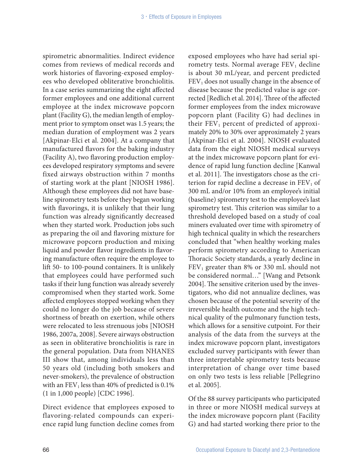spirometric abnormalities. Indirect evidence comes from reviews of medical records and work histories of flavoring-exposed employees who developed obliterative bronchiolitis. In a case series summarizing the eight affected former employees and one additional current employee at the index microwave popcorn plant (Facility G), the median length of employment prior to symptom onset was 1.5 years; the median duration of employment was 2 years [Akpinar-Elci et al. 2004]. At a company that manufactured flavors for the baking industry (Facility A), two flavoring production employees developed respiratory symptoms and severe fixed airways obstruction within 7 months of starting work at the plant [NIOSH 1986]. Although these employees did not have baseline spirometry tests before they began working with flavorings, it is unlikely that their lung function was already significantly decreased when they started work. Production jobs such as preparing the oil and flavoring mixture for microwave popcorn production and mixing liquid and powder flavor ingredients in flavoring manufacture often require the employee to lift 50- to 100-pound containers. It is unlikely that employees could have performed such tasks if their lung function was already severely compromised when they started work. Some affected employees stopped working when they could no longer do the job because of severe shortness of breath on exertion, while others were relocated to less strenuous jobs [NIOSH 1986, 2007a, 2008]. Severe airways obstruction as seen in obliterative bronchiolitis is rare in the general population. Data from NHANES III show that, among individuals less than 50 years old (including both smokers and never-smokers), the prevalence of obstruction with an  $FEV<sub>1</sub>$  less than 40% of predicted is 0.1% (1 in 1,000 people) [CDC 1996].

Direct evidence that employees exposed to flavoring-related compounds can experience rapid lung function decline comes from

exposed employees who have had serial spirometry tests. Normal average  $FEV<sub>1</sub>$  decline is about 30 mL/year, and percent predicted  $FEV<sub>1</sub>$  does not usually change in the absence of disease because the predicted value is age corrected [Redlich et al. 2014]. Three of the affected former employees from the index microwave popcorn plant (Facility G) had declines in their  $FEV<sub>1</sub>$  percent of predicted of approximately 20% to 30% over approximately 2 years [Akpinar-Elci et al. 2004]. NIOSH evaluated data from the eight NIOSH medical surveys at the index microwave popcorn plant for evidence of rapid lung function decline [Kanwal et al. 2011]. The investigators chose as the criterion for rapid decline a decrease in  $FEV<sub>1</sub>$  of 300 mL and/or 10% from an employee's initial (baseline) spirometry test to the employee's last spirometry test. This criterion was similar to a threshold developed based on a study of coal miners evaluated over time with spirometry of high technical quality in which the researchers concluded that "when healthy working males perform spirometry according to American Thoracic Society standards, a yearly decline in  $FEV<sub>1</sub>$  greater than 8% or 330 mL should not be considered normal…" [Wang and Petsonk 2004]. The sensitive criterion used by the investigators, who did not annualize declines, was chosen because of the potential severity of the irreversible health outcome and the high technical quality of the pulmonary function tests, which allows for a sensitive cutpoint. For their analysis of the data from the surveys at the index microwave popcorn plant, investigators excluded survey participants with fewer than three interpretable spirometry tests because interpretation of change over time based on only two tests is less reliable [Pellegrino et al. 2005].

Of the 88 survey participants who participated in three or more NIOSH medical surveys at the index microwave popcorn plant (Facility G) and had started working there prior to the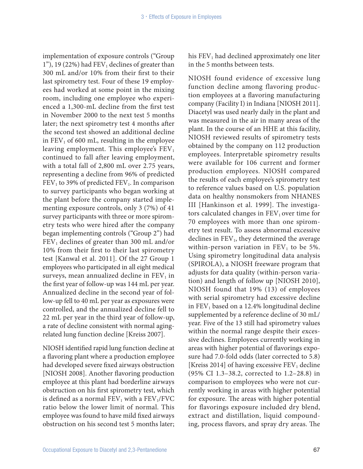implementation of exposure controls ("Group 1"), 19 (22%) had  $FEV<sub>1</sub>$  declines of greater than 300 mL and/or 10% from their first to their last spirometry test. Four of these 19 employees had worked at some point in the mixing room, including one employee who experienced a 1,300-mL decline from the first test in November 2000 to the next test 5 months later; the next spirometry test 4 months after the second test showed an additional decline in  $FEV<sub>1</sub>$  of 600 mL, resulting in the employee leaving employment. This employee's  $FEV<sub>1</sub>$ continued to fall after leaving employment, with a total fall of 2,800 mL over 2.75 years, representing a decline from 96% of predicted  $FEV<sub>1</sub>$  to 39% of predicted  $FEV<sub>1</sub>$ . In comparison to survey participants who began working at the plant before the company started implementing exposure controls, only 3 (7%) of 41 survey participants with three or more spirometry tests who were hired after the company began implementing controls ("Group 2") had  $FEV<sub>1</sub>$  declines of greater than 300 mL and/or 10% from their first to their last spirometry test [Kanwal et al. 2011]. Of the 27 Group 1 employees who participated in all eight medical surveys, mean annualized decline in  $FEV<sub>1</sub>$  in the first year of follow-up was 144 mL per year. Annualized decline in the second year of follow-up fell to 40 mL per year as exposures were controlled, and the annualized decline fell to 22 mL per year in the third year of follow-up, a rate of decline consistent with normal agingrelated lung function decline [Kreiss 2007].

NIOSH identified rapid lung function decline at a flavoring plant where a production employee had developed severe fixed airways obstruction [NIOSH 2008]. Another flavoring production employee at this plant had borderline airways obstruction on his first spirometry test, which is defined as a normal  $FEV<sub>1</sub>$  with a  $FEV<sub>1</sub>/FVC$ ratio below the lower limit of normal. This employee was found to have mild fixed airways obstruction on his second test 5 months later; his  $FEV<sub>1</sub>$  had declined approximately one liter in the 5 months between tests.

NIOSH found evidence of excessive lung function decline among flavoring production employees at a flavoring manufacturing company (Facility I) in Indiana [NIOSH 2011]. Diacetyl was used nearly daily in the plant and was measured in the air in many areas of the plant. In the course of an HHE at this facility, NIOSH reviewed results of spirometry tests obtained by the company on 112 production employees. Interpretable spirometry results were available for 106 current and former production employees. NIOSH compared the results of each employee's spirometry test to reference values based on U.S. population data on healthy nonsmokers from NHANES III [Hankinson et al. 1999]. The investigators calculated changes in  $FEV<sub>1</sub>$  over time for 70 employees with more than one spirometry test result. To assess abnormal excessive declines in  $FEV<sub>1</sub>$ , they determined the average within-person variation in  $FEV<sub>1</sub>$  to be 5%. Using spirometry longitudinal data analysis (SPIROLA), a NIOSH freeware program that adjusts for data quality (within-person variation) and length of follow up [NIOSH 2010], NIOSH found that 19% (13) of employees with serial spirometry had excessive decline in  $FEV<sub>1</sub>$  based on a 12.4% longitudinal decline supplemented by a reference decline of 30 mL/ year. Five of the 13 still had spirometry values within the normal range despite their excessive declines. Employees currently working in areas with higher potential of flavorings exposure had 7.0-fold odds (later corrected to 5.8) [Kreiss 2014] of having excessive  $FEV<sub>1</sub>$  decline (95% CI 1.3–38.2, corrected to 1.2–28.8) in comparison to employees who were not currently working in areas with higher potential for exposure. The areas with higher potential for flavorings exposure included dry blend, extract and distillation, liquid compounding, process flavors, and spray dry areas. The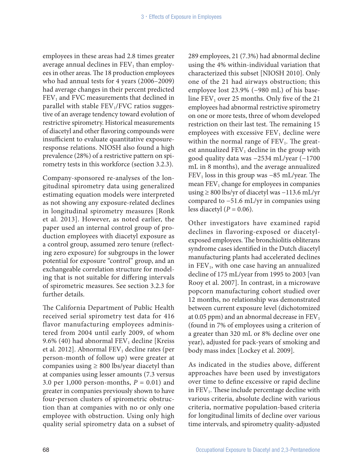employees in these areas had 2.8 times greater average annual declines in  $FEV<sub>1</sub>$  than employees in other areas. The 18 production employees who had annual tests for 4 years (2006–2009) had average changes in their percent predicted  $FEV<sub>1</sub>$  and FVC measurements that declined in parallel with stable  $FEV<sub>1</sub>/FVC$  ratios suggestive of an average tendency toward evolution of restrictive spirometry. Historical measurements of diacetyl and other flavoring compounds were insufficient to evaluate quantitative exposureresponse relations. NIOSH also found a high prevalence (28%) of a restrictive pattern on spirometry tests in this workforce (section 3.2.3).

Company-sponsored re-analyses of the longitudinal spirometry data using generalized estimating equation models were interpreted as not showing any exposure-related declines in longitudinal spirometry measures [Ronk et al. 2013]. However, as noted earlier, the paper used an internal control group of production employees with diacetyl exposure as a control group, assumed zero tenure (reflecting zero exposure) for subgroups in the lower potential for exposure "control" group, and an exchangeable correlation structure for modeling that is not suitable for differing intervals of spirometric measures. See section 3.2.3 for further details.

The California Department of Public Health received serial spirometry test data for 416 flavor manufacturing employees administered from 2004 until early 2009, of whom 9.6% (40) had abnormal  $FEV<sub>1</sub>$  decline [Kreiss] et al. 2012]. Abnormal  $FEV<sub>1</sub>$  decline rates (per person-month of follow up) were greater at companies using  $\geq 800$  lbs/year diacetyl than at companies using lesser amounts (7.3 versus 3.0 per 1,000 person-months,  $P = 0.01$ ) and greater in companies previously shown to have four-person clusters of spirometric obstruction than at companies with no or only one employee with obstruction. Using only high quality serial spirometry data on a subset of

289 employees, 21 (7.3%) had abnormal decline using the 4% within-individual variation that characterized this subset [NIOSH 2010]. Only one of the 21 had airways obstruction; this employee lost 23.9% (−980 mL) of his baseline  $FEV<sub>1</sub>$  over 25 months. Only five of the 21 employees had abnormal restrictive spirometry on one or more tests, three of whom developed restriction on their last test. The remaining 15 employees with excessive  $FEV<sub>1</sub>$  decline were within the normal range of  $FEV<sub>1</sub>$ . The greatest annualized  $FEV<sub>1</sub>$  decline in the group with good quality data was −2534 mL/year (−1700 mL in 8 months), and the average annualized  $FEV<sub>1</sub>$  loss in this group was −85 mL/year. The mean  $FEV<sub>1</sub>$  change for employees in companies using ≥ 800 lbs/yr of diacetyl was −113.6 mL/yr compared to −51.6 mL/yr in companies using less diacetyl  $(P = 0.06)$ .

Other investigators have examined rapid declines in flavoring-exposed or diacetylexposed employees. The bronchiolitis obliterans syndrome cases identified in the Dutch diacetyl manufacturing plants had accelerated declines in FEV<sub>1</sub>, with one case having an annualized decline of 175 mL/year from 1995 to 2003 [van Rooy et al. 2007]. In contrast, in a microwave popcorn manufacturing cohort studied over 12 months, no relationship was demonstrated between current exposure level (dichotomized at 0.05 ppm) and an abnormal decrease in  $FEV<sub>1</sub>$ (found in 7% of employees using a criterion of a greater than 320 mL or 8% decline over one year), adjusted for pack-years of smoking and body mass index [Lockey et al. 2009].

As indicated in the studies above, different approaches have been used by investigators over time to define excessive or rapid decline in FEV<sub>1</sub>. These include percentage decline with various criteria, absolute decline with various criteria, normative population-based criteria for longitudinal limits of decline over various time intervals, and spirometry quality-adjusted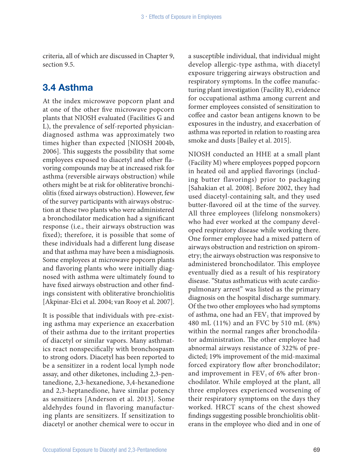criteria, all of which are discussed in Chapter 9, section 9.5.

### 3.4 Asthma

At the index microwave popcorn plant and at one of the other five microwave popcorn plants that NIOSH evaluated (Facilities G and L), the prevalence of self-reported physiciandiagnosed asthma was approximately two times higher than expected [NIOSH 2004b, 2006]. This suggests the possibility that some employees exposed to diacetyl and other flavoring compounds may be at increased risk for asthma (reversible airways obstruction) while others might be at risk for obliterative bronchiolitis (fixed airways obstruction). However, few of the survey participants with airways obstruction at these two plants who were administered a bronchodilator medication had a significant response (i.e., their airways obstruction was fixed); therefore, it is possible that some of these individuals had a different lung disease and that asthma may have been a misdiagnosis. Some employees at microwave popcorn plants and flavoring plants who were initially diagnosed with asthma were ultimately found to have fixed airways obstruction and other findings consistent with obliterative bronchiolitis [Akpinar-Elci et al. 2004; van Rooy et al. 2007].

It is possible that individuals with pre-existing asthma may experience an exacerbation of their asthma due to the irritant properties of diacetyl or similar vapors. Many asthmatics react nonspecifically with bronchospasm to strong odors. Diacetyl has been reported to be a sensitizer in a rodent local lymph node assay, and other diketones, including 2,3-pentanedione, 2,3-hexanedione, 3,4-hexanedione and 2,3-heptanedione, have similar potency as sensitizers [Anderson et al. 2013]. Some aldehydes found in flavoring manufacturing plants are sensitizers. If sensitization to diacetyl or another chemical were to occur in

a susceptible individual, that individual might develop allergic-type asthma, with diacetyl exposure triggering airways obstruction and respiratory symptoms. In the coffee manufacturing plant investigation (Facility R), evidence for occupational asthma among current and former employees consisted of sensitization to coffee and castor bean antigens known to be exposures in the industry, and exacerbation of asthma was reported in relation to roasting area smoke and dusts [Bailey et al. 2015].

NIOSH conducted an HHE at a small plant (Facility M) where employees popped popcorn in heated oil and applied flavorings (including butter flavorings) prior to packaging [Sahakian et al. 2008]. Before 2002, they had used diacetyl-containing salt, and they used butter-flavored oil at the time of the survey. All three employees (lifelong nonsmokers) who had ever worked at the company developed respiratory disease while working there. One former employee had a mixed pattern of airways obstruction and restriction on spirometry; the airways obstruction was responsive to administered bronchodilator. This employee eventually died as a result of his respiratory disease. "Status asthmaticus with acute cardiopulmonary arrest" was listed as the primary diagnosis on the hospital discharge summary. Of the two other employees who had symptoms of asthma, one had an  $FEV<sub>1</sub>$  that improved by 480 mL (11%) and an FVC by 510 mL (8%) within the normal ranges after bronchodilator administration. The other employee had abnormal airways resistance of 322% of predicted; 19% improvement of the mid-maximal forced expiratory flow after bronchodilator; and improvement in  $FEV<sub>1</sub>$  of 6% after bronchodilator. While employed at the plant, all three employees experienced worsening of their respiratory symptoms on the days they worked. HRCT scans of the chest showed findings suggesting possible bronchiolitis obliterans in the employee who died and in one of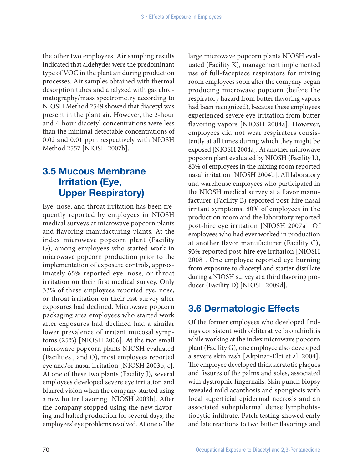the other two employees. Air sampling results indicated that aldehydes were the predominant type of VOC in the plant air during production processes. Air samples obtained with thermal desorption tubes and analyzed with gas chromatography/mass spectrometry according to NIOSH Method 2549 showed that diacetyl was present in the plant air. However, the 2-hour and 4-hour diacetyl concentrations were less than the minimal detectable concentrations of 0.02 and 0.01 ppm respectively with NIOSH Method 2557 [NIOSH 2007b].

# 3.5 Mucous Membrane Irritation (Eye, Upper Respiratory)

Eye, nose, and throat irritation has been frequently reported by employees in NIOSH medical surveys at microwave popcorn plants and flavoring manufacturing plants. At the index microwave popcorn plant (Facility G), among employees who started work in microwave popcorn production prior to the implementation of exposure controls, approximately 65% reported eye, nose, or throat irritation on their first medical survey. Only 33% of these employees reported eye, nose, or throat irritation on their last survey after exposures had declined. Microwave popcorn packaging area employees who started work after exposures had declined had a similar lower prevalence of irritant mucosal symptoms (25%) [NIOSH 2006]. At the two small microwave popcorn plants NIOSH evaluated (Facilities J and O), most employees reported eye and/or nasal irritation [NIOSH 2003b, c]. At one of these two plants (Facility J), several employees developed severe eye irritation and blurred vision when the company started using a new butter flavoring [NIOSH 2003b]. After the company stopped using the new flavoring and halted production for several days, the employees' eye problems resolved. At one of the

large microwave popcorn plants NIOSH evaluated (Facility K), management implemented use of full-facepiece respirators for mixing room employees soon after the company began producing microwave popcorn (before the respiratory hazard from butter flavoring vapors had been recognized), because these employees experienced severe eye irritation from butter flavoring vapors [NIOSH 2004a]. However, employees did not wear respirators consistently at all times during which they might be exposed [NIOSH 2004a]. At another microwave popcorn plant evaluated by NIOSH (Facility L), 83% of employees in the mixing room reported nasal irritation [NIOSH 2004b]. All laboratory and warehouse employees who participated in the NIOSH medical survey at a flavor manufacturer (Facility B) reported post-hire nasal irritant symptoms; 80% of employees in the production room and the laboratory reported post-hire eye irritation [NIOSH 2007a]. Of employees who had ever worked in production at another flavor manufacturer (Facility C), 93% reported post-hire eye irritation [NIOSH 2008]. One employee reported eye burning from exposure to diacetyl and starter distillate during a NIOSH survey at a third flavoring producer (Facility D) [NIOSH 2009d].

# 3.6 Dermatologic Effects

Of the former employees who developed findings consistent with obliterative bronchiolitis while working at the index microwave popcorn plant (Facility G), one employee also developed a severe skin rash [Akpinar-Elci et al. 2004]. The employee developed thick keratotic plaques and fissures of the palms and soles, associated with dystrophic fingernails. Skin punch biopsy revealed mild acanthosis and spongiosis with focal superficial epidermal necrosis and an associated subepidermal dense lymphohistiocytic infiltrate. Patch testing showed early and late reactions to two butter flavorings and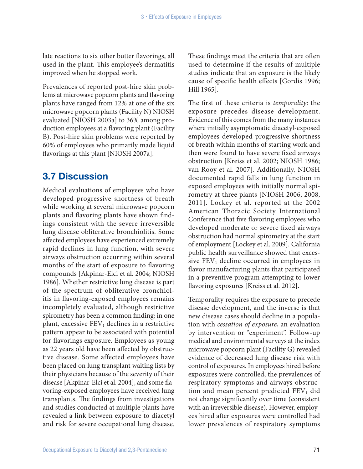late reactions to six other butter flavorings, all used in the plant. This employee's dermatitis improved when he stopped work.

Prevalences of reported post-hire skin problems at microwave popcorn plants and flavoring plants have ranged from 12% at one of the six microwave popcorn plants (Facility N) NIOSH evaluated [NIOSH 2003a] to 36% among production employees at a flavoring plant (Facility B). Post-hire skin problems were reported by 60% of employees who primarily made liquid flavorings at this plant [NIOSH 2007a].

### 3.7 Discussion

Medical evaluations of employees who have developed progressive shortness of breath while working at several microwave popcorn plants and flavoring plants have shown findings consistent with the severe irreversible lung disease obliterative bronchiolitis. Some affected employees have experienced extremely rapid declines in lung function, with severe airways obstruction occurring within several months of the start of exposure to flavoring compounds [Akpinar-Elci et al. 2004; NIOSH 1986]. Whether restrictive lung disease is part of the spectrum of obliterative bronchiolitis in flavoring-exposed employees remains incompletely evaluated, although restrictive spirometry has been a common finding; in one plant, excessive  $FEV<sub>1</sub>$  declines in a restrictive pattern appear to be associated with potential for flavorings exposure. Employees as young as 22 years old have been affected by obstructive disease. Some affected employees have been placed on lung transplant waiting lists by their physicians because of the severity of their disease [Akpinar-Elci et al. 2004], and some flavoring-exposed employees have received lung transplants. The findings from investigations and studies conducted at multiple plants have revealed a link between exposure to diacetyl and risk for severe occupational lung disease.

These findings meet the criteria that are often used to determine if the results of multiple studies indicate that an exposure is the likely cause of specific health effects [Gordis 1996; Hill 1965].

The first of these criteria is *temporality*: the exposure precedes disease development. Evidence of this comes from the many instances where initially asymptomatic diacetyl-exposed employees developed progressive shortness of breath within months of starting work and then were found to have severe fixed airways obstruction [Kreiss et al. 2002; NIOSH 1986; van Rooy et al. 2007]. Additionally, NIOSH documented rapid falls in lung function in exposed employees with initially normal spirometry at three plants [NIOSH 2006, 2008, 2011]. Lockey et al. reported at the 2002 American Thoracic Society International Conference that five flavoring employees who developed moderate or severe fixed airways obstruction had normal spirometry at the start of employment [Lockey et al. 2009]. California public health surveillance showed that excessive  $FEV<sub>1</sub>$  decline occurred in employees in flavor manufacturing plants that participated in a preventive program attempting to lower flavoring exposures [Kreiss et al. 2012].

Temporality requires the exposure to precede disease development, and the inverse is that new disease cases should decline in a population with *cessation of exposure*, an evaluation by intervention or "experiment". Follow-up medical and environmental surveys at the index microwave popcorn plant (Facility G) revealed evidence of decreased lung disease risk with control of exposures. In employees hired before exposures were controlled, the prevalences of respiratory symptoms and airways obstruction and mean percent predicted  $FEV<sub>1</sub>$  did not change significantly over time (consistent with an irreversible disease). However, employees hired after exposures were controlled had lower prevalences of respiratory symptoms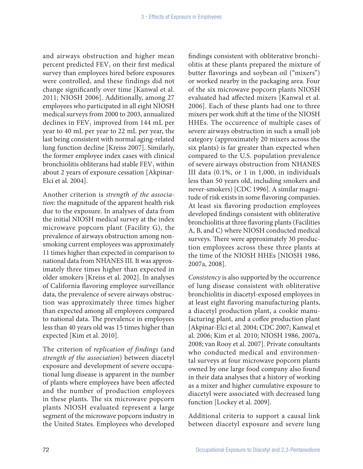and airways obstruction and higher mean percent predicted  $FEV<sub>1</sub>$  on their first medical survey than employees hired before exposures were controlled, and these findings did not change significantly over time [Kanwal et al. 2011; NIOSH 2006]. Additionally, among 27 employees who participated in all eight NIOSH medical surveys from 2000 to 2003, annualized declines in  $FEV_1$  improved from 144 mL per year to 40 mL per year to 22 mL per year, the last being consistent with normal aging-related lung function decline [Kreiss 2007]. Similarly, the former employee index cases with clinical bronchiolitis obliterans had stable  $FEV<sub>1</sub>$  within about 2 years of exposure cessation [Akpinar-Elci et al. 2004].

Another criterion is *strength of the association*: the magnitude of the apparent health risk due to the exposure. In analyses of data from the initial NIOSH medical survey at the index microwave popcorn plant (Facility G), the prevalence of airways obstruction among nonsmoking current employees was approximately 11 times higher than expected in comparison to national data from NHANES III. It was approximately three times higher than expected in older smokers [Kreiss et al. 2002]. In analyses of California flavoring employee surveillance data, the prevalence of severe airways obstruction was approximately three times higher than expected among all employees compared to national data. The prevalence in employees less than 40 years old was 15 times higher than expected [Kim et al. 2010].

The criterion of *replication of findings* (and *strength of the association*) between diacetyl exposure and development of severe occupational lung disease is apparent in the number of plants where employees have been affected and the number of production employees in these plants. The six microwave popcorn plants NIOSH evaluated represent a large segment of the microwave popcorn industry in the United States. Employees who developed

findings consistent with obliterative bronchiolitis at these plants prepared the mixture of butter flavorings and soybean oil ("mixers") or worked nearby in the packaging area. Four of the six microwave popcorn plants NIOSH evaluated had affected mixers [Kanwal et al. 2006]. Each of these plants had one to three mixers per work shift at the time of the NIOSH HHEs. The occurrence of multiple cases of severe airways obstruction in such a small job category (approximately 20 mixers across the six plants) is far greater than expected when compared to the U.S. population prevalence of severe airways obstruction from NHANES III data (0.1%, or 1 in 1,000, in individuals less than 50 years old, including smokers and never-smokers) [CDC 1996]. A similar magnitude of risk exists in some flavoring companies. At least six flavoring production employees developed findings consistent with obliterative bronchiolitis at three flavoring plants (Facilities A, B, and C) where NIOSH conducted medical surveys. There were approximately 30 production employees across these three plants at the time of the NIOSH HHEs [NIOSH 1986, 2007a, 2008].

*Consistency* is also supported by the occurrence of lung disease consistent with obliterative bronchiolitis in diacetyl-exposed employees in at least eight flavoring manufacturing plants, a diacetyl production plant, a cookie manufacturing plant, and a coffee production plant [Akpinar-Elci et al. 2004; CDC 2007; Kanwal et al. 2006; Kim et al. 2010; NIOSH 1986, 2007a, 2008; van Rooy et al. 2007]. Private consultants who conducted medical and environmental surveys at four microwave popcorn plants owned by one large food company also found in their data analyses that a history of working as a mixer and higher cumulative exposure to diacetyl were associated with decreased lung function [Lockey et al. 2009].

Additional criteria to support a causal link between diacetyl exposure and severe lung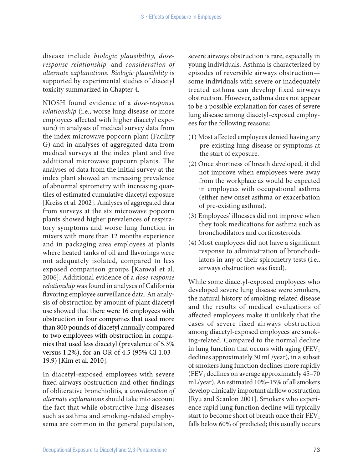disease include *biologic plausibility, doseresponse relationship,* and *consideration of alternate explanations. Biologic plausibility* is supported by experimental studies of diacetyl toxicity summarized in Chapter 4.

NIOSH found evidence of a *dose-response relationship* (i.e., worse lung disease or more employees affected with higher diacetyl exposure) in analyses of medical survey data from the index microwave popcorn plant (Facility G) and in analyses of aggregated data from medical surveys at the index plant and five additional microwave popcorn plants. The analyses of data from the initial survey at the index plant showed an increasing prevalence of abnormal spirometry with increasing quartiles of estimated cumulative diacetyl exposure [Kreiss et al. 2002]. Analyses of aggregated data from surveys at the six microwave popcorn plants showed higher prevalences of respiratory symptoms and worse lung function in mixers with more than 12 months experience and in packaging area employees at plants where heated tanks of oil and flavorings were not adequately isolated, compared to less exposed comparison groups [Kanwal et al. 2006]. Additional evidence of a *dose-response relationship* was found in analyses of California flavoring employee surveillance data. An analysis of obstruction by amount of plant diacetyl use showed that there were 16 employees with obstruction in four companies that used more than 800 pounds of diacetyl annually compared to two employees with obstruction in companies that used less diacetyl (prevalence of 5.3% versus 1.2%), for an OR of 4.5 (95% CI 1.03– 19.9) [Kim et al. 2010].

In diacetyl-exposed employees with severe fixed airways obstruction and other findings of obliterative bronchiolitis, a *consideration of alternate explanations* should take into account the fact that while obstructive lung diseases such as asthma and smoking-related emphysema are common in the general population,

severe airways obstruction is rare, especially in young individuals. Asthma is characterized by episodes of reversible airways obstruction some individuals with severe or inadequately treated asthma can develop fixed airways obstruction. However, asthma does not appear to be a possible explanation for cases of severe lung disease among diacetyl-exposed employees for the following reasons:

- (1) Most affected employees denied having any pre-existing lung disease or symptoms at the start of exposure.
- (2) Once shortness of breath developed, it did not improve when employees were away from the workplace as would be expected in employees with occupational asthma (either new onset asthma or exacerbation of pre-existing asthma).
- (3) Employees' illnesses did not improve when they took medications for asthma such as bronchodilators and corticosteroids.
- (4) Most employees did not have a significant response to administration of bronchodilators in any of their spirometry tests (i.e., airways obstruction was fixed).

While some diacetyl-exposed employees who developed severe lung disease were smokers, the natural history of smoking-related disease and the results of medical evaluations of affected employees make it unlikely that the cases of severe fixed airways obstruction among diacetyl-exposed employees are smoking-related. Compared to the normal decline in lung function that occurs with aging  $(FEV_1)$ declines approximately 30 mL/year), in a subset of smokers lung function declines more rapidly (FEV<sub>1</sub> declines on average approximately  $45-70$ mL/year). An estimated 10%–15% of all smokers develop clinically important airflow obstruction [Ryu and Scanlon 2001]. Smokers who experience rapid lung function decline will typically start to become short of breath once their  $FEV<sub>1</sub>$ falls below 60% of predicted; this usually occurs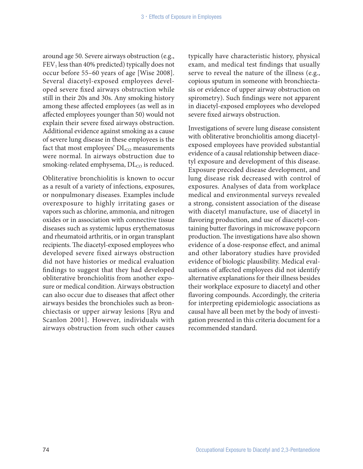around age 50. Severe airways obstruction (e.g.,  $FEV<sub>1</sub>$  less than 40% predicted) typically does not occur before 55–60 years of age [Wise 2008]. Several diacetyl-exposed employees developed severe fixed airways obstruction while still in their 20s and 30s. Any smoking history among these affected employees (as well as in affected employees younger than 50) would not explain their severe fixed airways obstruction. Additional evidence against smoking as a cause of severe lung disease in these employees is the fact that most employees'  $DL_{CO}$  measurements were normal. In airways obstruction due to smoking-related emphysema,  $DL_{CO}$  is reduced.

Obliterative bronchiolitis is known to occur as a result of a variety of infections, exposures, or nonpulmonary diseases. Examples include overexposure to highly irritating gases or vapors such as chlorine, ammonia, and nitrogen oxides or in association with connective tissue diseases such as systemic lupus erythematosus and rheumatoid arthritis, or in organ transplant recipients. The diacetyl-exposed employees who developed severe fixed airways obstruction did not have histories or medical evaluation findings to suggest that they had developed obliterative bronchiolitis from another exposure or medical condition. Airways obstruction can also occur due to diseases that affect other airways besides the bronchioles such as bronchiectasis or upper airway lesions [Ryu and Scanlon 2001]. However, individuals with airways obstruction from such other causes

typically have characteristic history, physical exam, and medical test findings that usually serve to reveal the nature of the illness (e.g., copious sputum in someone with bronchiectasis or evidence of upper airway obstruction on spirometry). Such findings were not apparent in diacetyl-exposed employees who developed severe fixed airways obstruction.

Investigations of severe lung disease consistent with obliterative bronchiolitis among diacetylexposed employees have provided substantial evidence of a causal relationship between diacetyl exposure and development of this disease. Exposure preceded disease development, and lung disease risk decreased with control of exposures. Analyses of data from workplace medical and environmental surveys revealed a strong, consistent association of the disease with diacetyl manufacture, use of diacetyl in flavoring production, and use of diacetyl-containing butter flavorings in microwave popcorn production. The investigations have also shown evidence of a dose-response effect, and animal and other laboratory studies have provided evidence of biologic plausibility. Medical evaluations of affected employees did not identify alternative explanations for their illness besides their workplace exposure to diacetyl and other flavoring compounds. Accordingly, the criteria for interpreting epidemiologic associations as causal have all been met by the body of investigation presented in this criteria document for a recommended standard.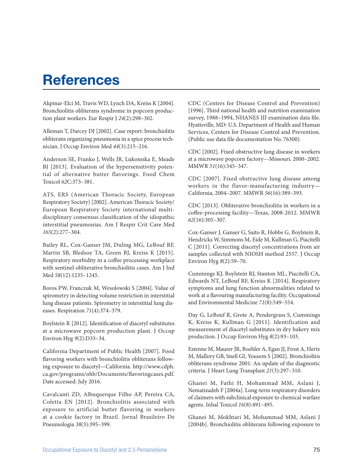# **References**

Akpinar-Elci M, Travis WD, Lynch DA, Kreiss K [2004]. Bronchiolitis obliterans syndrome in popcorn production plant workers. Eur Respir J *24*(2):298–302.

Alleman T, Darcey DJ [2002]. Case report: bronchiolitis obliterans organizing pneumonia in a spice process technician. J Occup Environ Med *44*(3):215–216.

Anderson SE, Franko J, Wells JR, Lukomska E, Meade BJ [2013]. Evaluation of the hypersensitivity potential of alternative butter flavorings. Food Chem Toxicol *62*C:373–381.

ATS, ERS (American Thoracic Society, European Respiratory Society) [2002]. American Thoracic Society/ European Respiratory Society international multidisciplinary consensus classification of the idiopathic interstitial pneumonias. Am J Respir Crit Care Med *165*(2):277–304.

Bailey RL, Cox-Ganser JM, Duling MG, LeBouf RF, Martin SB, Bledsoe TA, Green BJ, Kreiss K [2015]. Respiratory morbidity in a coffee processing workplace with sentinel obliterative bronchiolitis cases. Am J Ind Med *58*(12):1235–1245.

Boros PW, Franczuk M, Wesolowski S [2004]. Value of spirometry in detecting volume restriction in interstitial lung disease patients. Spirometry in interstitial lung diseases. Respiration *71*(4):374–379.

Boylstein R [2012]. Identification of diacetyl substitutes at a microwave popcorn production plant. J Occup Environ Hyg *9*(2):D33–34.

California Department of Public Health [2007]. Food flavoring workers with bronchiolitis obliterans following exposure to diacetyl—California. [http://www.cdph.](http://www.cdph.ca.gov/programs/ohb/Documents/flavoringcases.pdf) [ca.gov/programs/ohb/Documents/flavoringcases.pdf](http://www.cdph.ca.gov/programs/ohb/Documents/flavoringcases.pdf). Date accessed: July 2016.

Cavalcanti ZD, Albuquerque Filho AP, Pereira CA, Coletta EN [2012]. Bronchiolitis associated with exposure to artificial butter flavoring in workers at a cookie factory in Brazil. Jornal Brasileiro De Pneumologia *38*(3):395–399.

CDC (Centers for Disease Control and Prevention) [1996]. Third national health and nutrition examination survey, 1988–1994, NHANES III examination data file. Hyattsville, MD: U.S. Department of Health and Human Services, Centers for Disease Control and Prevention. (Public use data file documentation No. 76300).

CDC [2002]. Fixed obstructive lung disease in workers at a microwave popcorn factory—Missouri, 2000–2002. MMWR *51*(16):345–347.

CDC [2007]. Fixed obstructive lung disease among workers in the flavor-manufacturing industry— California, 2004–2007. MMWR *56*(16):389–393.

CDC [2013]. Obliterative bronchiolitis in workers in a coffee-processing facility—Texas, 2008-2012. MMWR *62*(16):305–307.

Cox-Ganser J, Ganser G, Saito R, Hobbs G, Boylstein R, Hendricks W, Simmons M, Eide M, Kullman G, Piacitelli C [2011]. Correcting diacetyl concentrations from air samples collected with NIOSH method 2557. J Occup Environ Hyg *8*(2):59–70.

Cummings KJ, Boylstein RJ, Stanton ML, Piacitelli CA, Edwards NT, LeBouf RF, Kreiss K [2014]. Respiratory symptoms and lung function abnormalities related to work at a flavouring manufacturing facility. Occupational and Environmental Medicine *71*(8):549–554.

Day G, LeBouf R, Grote A, Pendergrass S, Cummings K, Kreiss K, Kullman G [2011]. Identification and measurement of diacetyl substitutes in dry bakery mix production. J Occup Environ Hyg *8*(2):93–103.

Estenne M, Maurer JR, Boehler A, Egan JJ, Frost A, Hertz M, Mallory GB, Snell GI, Yousem S [2002]. Bronchiolitis obliterans syndrome 2001: An update of the diagnostic criteria. J Heart Lung Transplant *21*(3):297–310.

Ghanei M, Fathi H, Mohammad MM, Aslani J, Nematizadeh F [2004a]. Long-term respiratory disorders of claimers with subclinical exposure to chemical warfare agents. Inhal Toxicol *16*(8):491–495.

Ghanei M, Mokhtari M, Mohammad MM, Aslani J [2004b]. Bronchiolitis obliterans following exposure to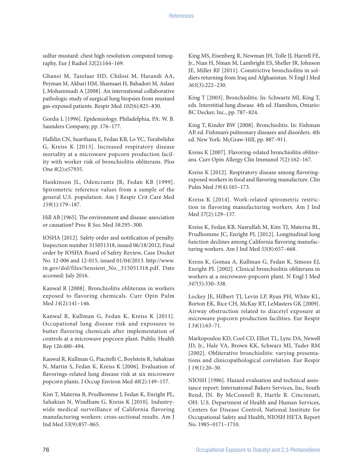sulfur mustard: chest high resolution computed tomography. Eur J Radiol *52*(2):164–169.

Ghanei M, Tazelaar HD, Chilosi M, Harandi AA, Peyman M, Akbari HM, Shamsaei H, Bahadori M, Aslani J, Mohammadi A [2008]. An international collaborative pathologic study of surgical lung biopsies from mustard gas-exposed patients. Respir Med *102*(6):825–830.

Gordis L [1996]. Epidemiology. Philadelphia, PA: W. B. Saunders Company, pp. 176–177.

Halldin CN, Suarthana E, Fedan KB, Lo YC, Turabelidze G, Kreiss K [2013]. Increased respiratory disease mortality at a microwave popcorn production facility with worker risk of bronchiolitis obliterans. Plos One *8*(2):e57935.

Hankinson JL, Odencrantz JR, Fedan KB [1999]. Spirometric reference values from a sample of the general U.S. population. Am J Respir Crit Care Med *159*(1):179–187.

Hill AB [1965]. The environment and disease: association or causation? Proc R Soc Med *58*:295–300.

IOSHA [2012]. Safety order and notification of penalty. Inspection number 315051318, issued 06/18/2012; Final order by IOSHA Board of Safety Review, Case Docket No. 12-006 and 12-015, issued 01/04/2013. [http://www.](http://www.in.gov/dol/files/Sensient_No._315051318.pdf%5d) [in.gov/dol/files/Sensient\\_No.\\_315051318.pdf.](http://www.in.gov/dol/files/Sensient_No._315051318.pdf%5d) Date accessed: July 2016.

Kanwal R [2008]. Bronchiolitis obliterans in workers exposed to flavoring chemicals. Curr Opin Pulm Med *14*(2):141–146.

Kanwal R, Kullman G, Fedan K, Kreiss K [2011]. Occupational lung disease risk and exposures to butter flavoring chemicals after implementation of controls at a microwave popcorn plant. Public Health Rep 126:480–494.

Kanwal R, Kullman G, Piacitelli C, Boylstein R, Sahakian N, Martin S, Fedan K, Kreiss K [2006]. Evaluation of flavorings-related lung disease risk at six microwave popcorn plants. J Occup Environ Med *48*(2):149–157.

Kim T, Materna B, Prudhomme J, Fedan K, Enright PL, Sahakian N, Windham G, Kreiss K [2010]. Industrywide medical surveillance of California flavoring manufacturing workers: cross-sectional results. Am J Ind Med *53*(9):857–865.

King MS, Eisenberg R, Newman JH, Tolle JJ, Harrell FE, Jr., Nian H, Ninan M, Lambright ES, Sheller JR, Johnson JE, Miller RF [2011]. Constrictive bronchiolitis in soldiers returning from Iraq and Afghanistan. N Engl J Med *365*(3):222–230.

King T [2003]. Bronchiolitis. In: Schwartz MI, King T, eds. Interstitial lung disease. 4th ed. Hamilton, Ontario: BC Decker, Inc., pp. 787–824.

King T, Kinder BW [2008]. Bronchiolitis. In: Fishman AP, ed. Fishman's pulmonary diseases and disorders. 4th ed. New York: McGraw-Hill, pp. 887–911.

Kreiss K [2007]. Flavoring-related bronchiolitis obliterans. Curr Opin Allergy Clin Immunol *7*(2):162–167.

Kreiss K [2012]. Respiratory disease among flavoringexposed workers in food and flavoring manufacture. Clin Pulm Med *19*(4):165–173.

Kreiss K [2014]. Work-related spirometric restriction in flavoring manufacturing workers. Am J Ind Med *57*(2):129–137.

Kreiss K, Fedan KB, Nasrullah M, Kim TJ, Materna BL, Prudhomme JC, Enright PL [2012]. Longitudinal lung function declines among California flavoring manufacturing workers. Am J Ind Med *55*(8):657–668.

Kreiss K, Gomaa A, Kullman G, Fedan K, Simoes EJ, Enright PL [2002]. Clinical bronchiolitis obliterans in workers at a microwave-popcorn plant. N Engl J Med *347*(5):330–338.

Lockey JE, Hilbert TJ, Levin LP, Ryan PH, White KL, Borton EK, Rice CH, McKay RT, LeMasters GK [2009]. Airway obstruction related to diacetyl exposure at microwave popcorn production facilities. Eur Respir J *34*(1):63–71.

Markopoulou KD, Cool CD, Elliot TL, Lync DA, Newell JD, Jr., Hale VA, Brown KK, Schwarz MI, Tuder RM [2002]. Obliterative bronchiolitis: varying presentations and clinicopathological correlation. Eur Respir J *19*(1):20–30.

NIOSH [1986]. Hazard evaluation and technical assistance report: International Bakers Services, Inc, South Bend, IN. By McConnell R, Hartle R. Cincinnati, OH: U.S. Department of Health and Human Services, Centers for Disease Control, National Institute for Occupational Safety and Health, NIOSH HETA Report No. 1985–0171–1710.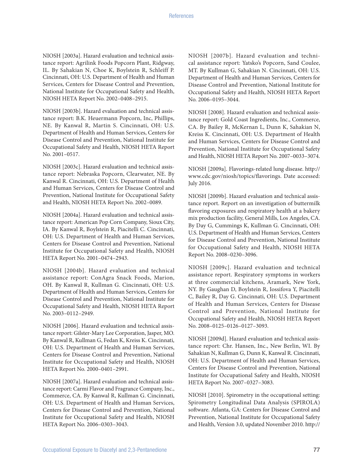NIOSH [2003a]. Hazard evaluation and technical assistance report: Agrilink Foods Popcorn Plant, Ridgway, IL. By Sahakian N, Choe K, Boylstein R, Schleiff P. Cincinnati, OH: U.S. Department of Health and Human Services, Centers for Disease Control and Prevention, National Institute for Occupational Safety and Health, NIOSH HETA Report No. 2002–0408–2915.

NIOSH [2003b]. Hazard evaluation and technical assistance report: B.K. Heuermann Popcorn, Inc, Phillips, NE. By Kanwal R, Martin S. Cincinnati, OH: U.S. Department of Health and Human Services, Centers for Disease Control and Prevention, National Institute for Occupational Safety and Health, NIOSH HETA Report No. 2001–0517.

NIOSH [2003c]. Hazard evaluation and technical assistance report: Nebraska Popcorn, Clearwater, NE. By Kanwal R. Cincinnati, OH: U.S. Department of Health and Human Services, Centers for Disease Control and Prevention, National Institute for Occupational Safety and Health, NIOSH HETA Report No. 2002–0089.

NIOSH [2004a]. Hazard evaluation and technical assistance report: American Pop Corn Company, Sioux City, IA. By Kanwal R, Boylstein R, Piacitelli C. Cincinnati, OH: U.S. Department of Health and Human Services, Centers for Disease Control and Prevention, National Institute for Occupational Safety and Health, NIOSH HETA Report No. 2001–0474–2943.

NIOSH [2004b]. Hazard evaluation and technical assistance report: ConAgra Snack Foods, Marion, OH. By Kanwal R, Kullman G. Cincinnati, OH: U.S. Department of Health and Human Services, Centers for Disease Control and Prevention, National Institute for Occupational Safety and Health, NIOSH HETA Report No. 2003–0112–2949.

NIOSH [2006]. Hazard evaluation and technical assistance report: Gilster-Mary Lee Corporation, Jasper, MO. By Kanwal R, Kullman G, Fedan K, Kreiss K. Cincinnati, OH: U.S. Department of Health and Human Services, Centers for Disease Control and Prevention, National Institute for Occupational Safety and Health, NIOSH HETA Report No. 2000–0401–2991.

NIOSH [2007a]. Hazard evaluation and technical assistance report: Carmi Flavor and Fragrance Company, Inc., Commerce, CA. By Kanwal R, Kullman G. Cincinnati, OH: U.S. Department of Health and Human Services, Centers for Disease Control and Prevention, National Institute for Occupational Safety and Health, NIOSH HETA Report No. 2006–0303–3043.

NIOSH [2007b]. Hazard evaluation and technical assistance report: Yatsko's Popcorn, Sand Coulee, MT. By Kullman G, Sahakian N. Cincinnati, OH: U.S. Department of Health and Human Services, Centers for Disease Control and Prevention, National Institute for Occupational Safety and Health, NIOSH HETA Report No. 2006–0195–3044.

NIOSH [2008]. Hazard evaluation and technical assistance report: Gold Coast Ingredients, Inc., Commerce, CA. By Bailey R, McKernan L, Dunn K, Sahakian N, Kreiss K. Cincinnati, OH: U.S. Department of Health and Human Services, Centers for Disease Control and Prevention, National Institute for Occupational Safety and Health, NIOSH HETA Report No. 2007–0033–3074.

NIOSH [2009a]. Flavorings-related lung disease. [http://](http://www.cdc.gov/niosh/topics/flavorings) [www.cdc.gov/niosh/topics/flavorings.](http://www.cdc.gov/niosh/topics/flavorings) Date accessed: July 2016.

NIOSH [2009b]. Hazard evaluation and technical assistance report. Report on an investigation of buttermilk flavoring exposures and respiratory health at a bakery mix production facility, General Mills, Los Angeles, CA. By Day G, Cummings K, Kullman G. Cincinnati, OH: U.S. Department of Health and Human Services, Centers for Disease Control and Prevention, National Institute for Occupational Safety and Health, NIOSH HETA Report No. 2008–0230–3096.

NIOSH [2009c]. Hazard evaluation and technical assistance report. Respiratory symptoms in workers at three commercial kitchens, Aramark, New York, NY. By Gaughan D, Boylstein R, Iossifova Y, Piacitelli C, Bailey R, Day G. Cincinnati, OH: U.S. Department of Health and Human Services, Centers for Disease Control and Prevention, National Institute for Occupational Safety and Health, NIOSH HETA Report No. 2008–0125–0126–0127–3093.

NIOSH [2009d]. Hazard evaluation and technical assistance report: Chr. Hansen, Inc., New Berlin, WI. By Sahakian N, Kullman G, Dunn K, Kanwal R. Cincinnati, OH: U.S. Department of Health and Human Services, Centers for Disease Control and Prevention, National Institute for Occupational Safety and Health, NIOSH HETA Report No. 2007–0327–3083.

NIOSH [2010]. Spirometry in the occupational setting: Spirometry Longitudinal Data Analysis (SPIROLA) software. Atlanta, GA: Centers for Disease Control and Prevention, National Institute for Occupational Safety and Health, Version 3.0, updated November 2010. [http://](www.cdc.gov/niosh/topics/spirometry/spirola.html)